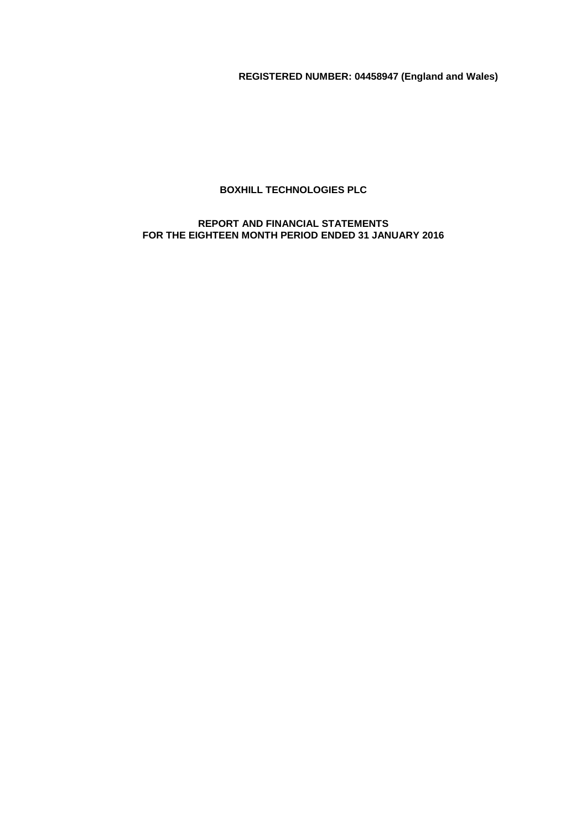**REGISTERED NUMBER: 04458947 (England and Wales)**

# **BOXHILL TECHNOLOGIES PLC**

# **REPORT AND FINANCIAL STATEMENTS FOR THE EIGHTEEN MONTH PERIOD ENDED 31 JANUARY 2016**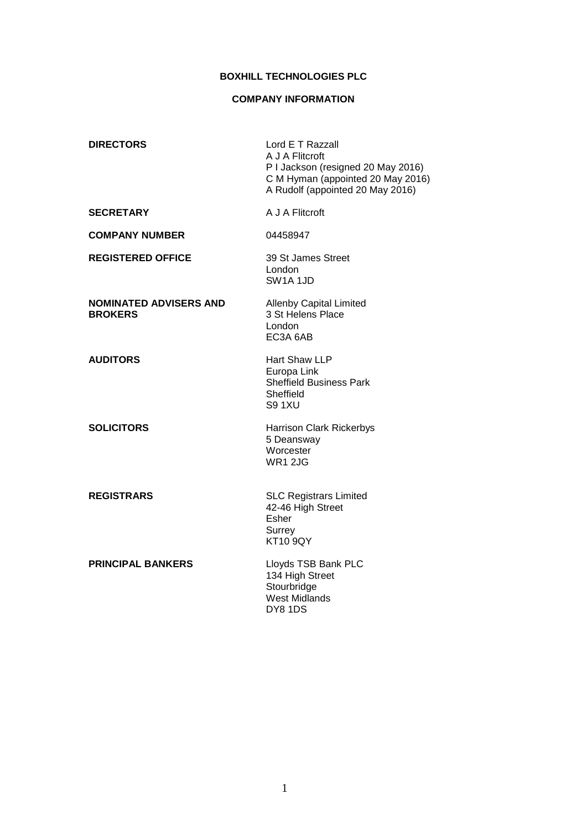# **COMPANY INFORMATION**

| <b>DIRECTORS</b>                                | Lord E T Razzall<br>A J A Flitcroft<br>P I Jackson (resigned 20 May 2016)<br>C M Hyman (appointed 20 May 2016)<br>A Rudolf (appointed 20 May 2016) |
|-------------------------------------------------|----------------------------------------------------------------------------------------------------------------------------------------------------|
| <b>SECRETARY</b>                                | A J A Flitcroft                                                                                                                                    |
| <b>COMPANY NUMBER</b>                           | 04458947                                                                                                                                           |
| <b>REGISTERED OFFICE</b>                        | 39 St James Street<br>London<br>SW <sub>1</sub> A 1JD                                                                                              |
| <b>NOMINATED ADVISERS AND</b><br><b>BROKERS</b> | <b>Allenby Capital Limited</b><br>3 St Helens Place<br>London<br>EC3A 6AB                                                                          |
| <b>AUDITORS</b>                                 | Hart Shaw LLP<br>Europa Link<br><b>Sheffield Business Park</b><br>Sheffield<br>S <sub>9</sub> 1XU                                                  |
| <b>SOLICITORS</b>                               | <b>Harrison Clark Rickerbys</b><br>5 Deansway<br>Worcester<br>WR1 2JG                                                                              |
| <b>REGISTRARS</b>                               | <b>SLC Registrars Limited</b><br>42-46 High Street<br>Esher<br>Surrey<br><b>KT10 9QY</b>                                                           |
| <b>PRINCIPAL BANKERS</b>                        | Lloyds TSB Bank PLC<br>134 High Street<br>Stourbridge<br><b>West Midlands</b><br>DY8 1DS                                                           |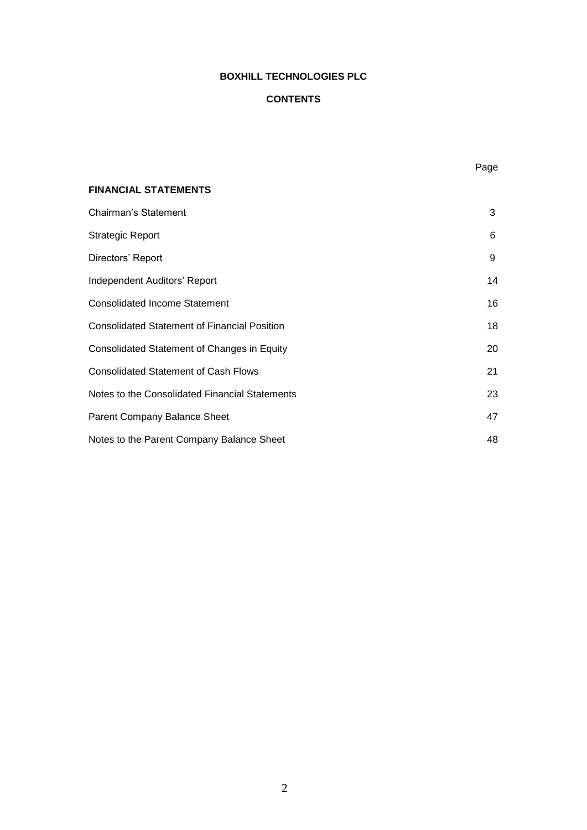# **CONTENTS**

Page

| <b>FINANCIAL STATEMENTS</b>                         |    |
|-----------------------------------------------------|----|
| <b>Chairman's Statement</b>                         | 3  |
| <b>Strategic Report</b>                             | 6  |
| Directors' Report                                   | 9  |
| Independent Auditors' Report                        | 14 |
| <b>Consolidated Income Statement</b>                | 16 |
| <b>Consolidated Statement of Financial Position</b> | 18 |
| Consolidated Statement of Changes in Equity         | 20 |
| <b>Consolidated Statement of Cash Flows</b>         | 21 |
| Notes to the Consolidated Financial Statements      | 23 |
| Parent Company Balance Sheet                        | 47 |
| Notes to the Parent Company Balance Sheet           | 48 |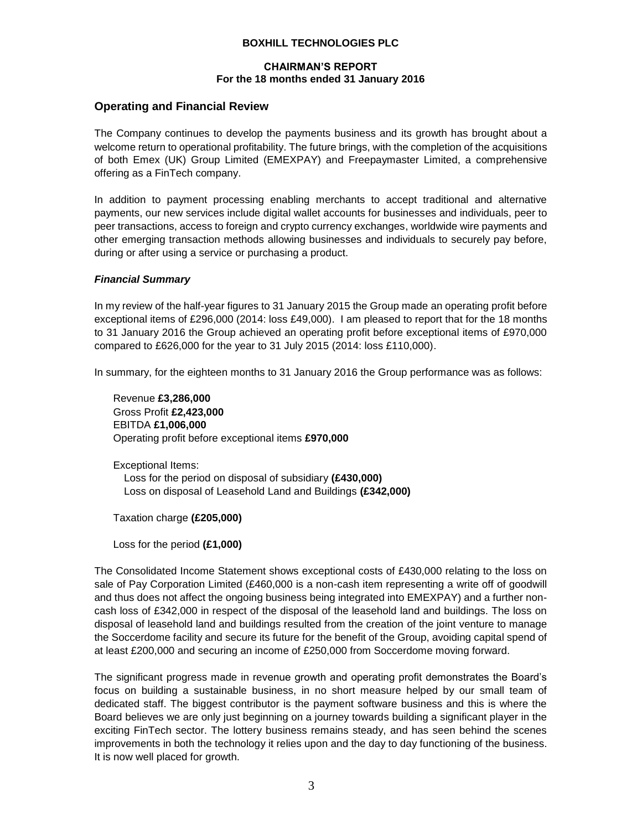## **CHAIRMAN'S REPORT For the 18 months ended 31 January 2016**

## **Operating and Financial Review**

The Company continues to develop the payments business and its growth has brought about a welcome return to operational profitability. The future brings, with the completion of the acquisitions of both Emex (UK) Group Limited (EMEXPAY) and Freepaymaster Limited, a comprehensive offering as a FinTech company.

In addition to payment processing enabling merchants to accept traditional and alternative payments, our new services include digital wallet accounts for businesses and individuals, peer to peer transactions, access to foreign and crypto currency exchanges, worldwide wire payments and other emerging transaction methods allowing businesses and individuals to securely pay before, during or after using a service or purchasing a product.

## *Financial Summary*

In my review of the half-year figures to 31 January 2015 the Group made an operating profit before exceptional items of £296,000 (2014: loss £49,000). I am pleased to report that for the 18 months to 31 January 2016 the Group achieved an operating profit before exceptional items of £970,000 compared to £626,000 for the year to 31 July 2015 (2014: loss £110,000).

In summary, for the eighteen months to 31 January 2016 the Group performance was as follows:

Revenue **£3,286,000** Gross Profit **£2,423,000** EBITDA **£1,006,000** Operating profit before exceptional items **£970,000**

Exceptional Items: Loss for the period on disposal of subsidiary **(£430,000)** Loss on disposal of Leasehold Land and Buildings **(£342,000)**

Taxation charge **(£205,000)**

Loss for the period **(£1,000)**

The Consolidated Income Statement shows exceptional costs of £430,000 relating to the loss on sale of Pay Corporation Limited (£460,000 is a non-cash item representing a write off of goodwill and thus does not affect the ongoing business being integrated into EMEXPAY) and a further noncash loss of £342,000 in respect of the disposal of the leasehold land and buildings. The loss on disposal of leasehold land and buildings resulted from the creation of the joint venture to manage the Soccerdome facility and secure its future for the benefit of the Group, avoiding capital spend of at least £200,000 and securing an income of £250,000 from Soccerdome moving forward.

The significant progress made in revenue growth and operating profit demonstrates the Board's focus on building a sustainable business, in no short measure helped by our small team of dedicated staff. The biggest contributor is the payment software business and this is where the Board believes we are only just beginning on a journey towards building a significant player in the exciting FinTech sector. The lottery business remains steady, and has seen behind the scenes improvements in both the technology it relies upon and the day to day functioning of the business. It is now well placed for growth.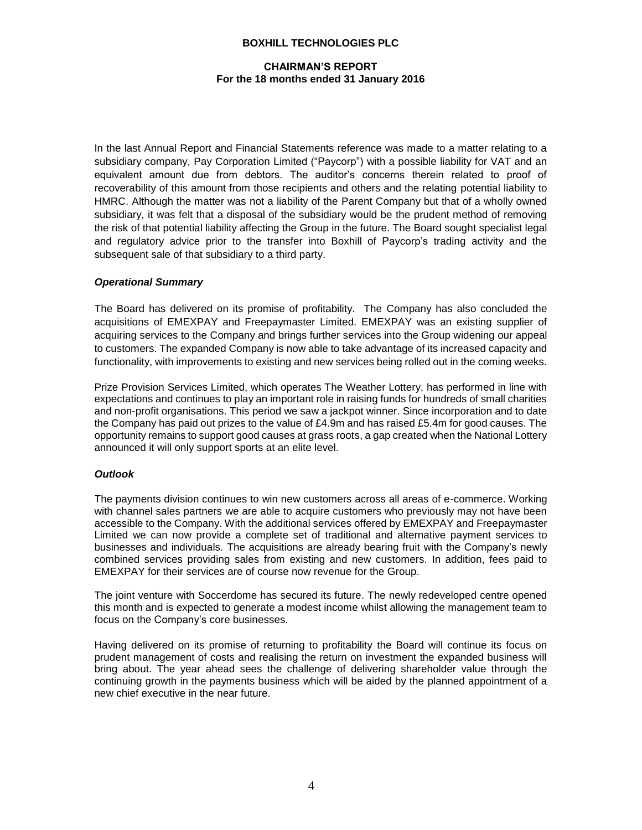### **CHAIRMAN'S REPORT For the 18 months ended 31 January 2016**

In the last Annual Report and Financial Statements reference was made to a matter relating to a subsidiary company, Pay Corporation Limited ("Paycorp") with a possible liability for VAT and an equivalent amount due from debtors. The auditor's concerns therein related to proof of recoverability of this amount from those recipients and others and the relating potential liability to HMRC. Although the matter was not a liability of the Parent Company but that of a wholly owned subsidiary, it was felt that a disposal of the subsidiary would be the prudent method of removing the risk of that potential liability affecting the Group in the future. The Board sought specialist legal and regulatory advice prior to the transfer into Boxhill of Paycorp's trading activity and the subsequent sale of that subsidiary to a third party.

# *Operational Summary*

The Board has delivered on its promise of profitability. The Company has also concluded the acquisitions of EMEXPAY and Freepaymaster Limited. EMEXPAY was an existing supplier of acquiring services to the Company and brings further services into the Group widening our appeal to customers. The expanded Company is now able to take advantage of its increased capacity and functionality, with improvements to existing and new services being rolled out in the coming weeks.

Prize Provision Services Limited, which operates The Weather Lottery, has performed in line with expectations and continues to play an important role in raising funds for hundreds of small charities and non-profit organisations. This period we saw a jackpot winner. Since incorporation and to date the Company has paid out prizes to the value of £4.9m and has raised £5.4m for good causes. The opportunity remains to support good causes at grass roots, a gap created when the National Lottery announced it will only support sports at an elite level.

# *Outlook*

The payments division continues to win new customers across all areas of e-commerce. Working with channel sales partners we are able to acquire customers who previously may not have been accessible to the Company. With the additional services offered by EMEXPAY and Freepaymaster Limited we can now provide a complete set of traditional and alternative payment services to businesses and individuals. The acquisitions are already bearing fruit with the Company's newly combined services providing sales from existing and new customers. In addition, fees paid to EMEXPAY for their services are of course now revenue for the Group.

The joint venture with Soccerdome has secured its future. The newly redeveloped centre opened this month and is expected to generate a modest income whilst allowing the management team to focus on the Company's core businesses.

Having delivered on its promise of returning to profitability the Board will continue its focus on prudent management of costs and realising the return on investment the expanded business will bring about. The year ahead sees the challenge of delivering shareholder value through the continuing growth in the payments business which will be aided by the planned appointment of a new chief executive in the near future.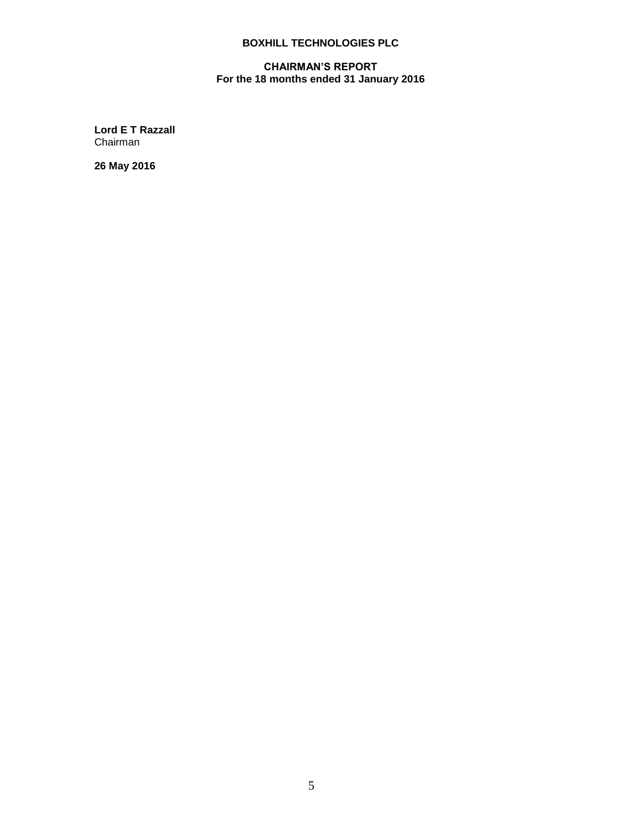# **CHAIRMAN'S REPORT For the 18 months ended 31 January 2016**

**Lord E T Razzall** Chairman

**26 May 2016**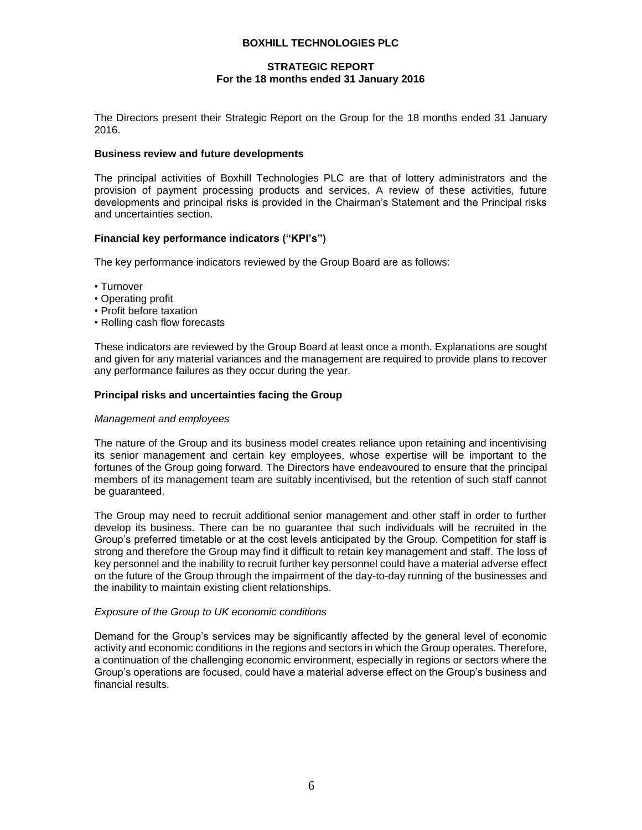### **STRATEGIC REPORT For the 18 months ended 31 January 2016**

The Directors present their Strategic Report on the Group for the 18 months ended 31 January 2016.

### **Business review and future developments**

The principal activities of Boxhill Technologies PLC are that of lottery administrators and the provision of payment processing products and services. A review of these activities, future developments and principal risks is provided in the Chairman's Statement and the Principal risks and uncertainties section.

## **Financial key performance indicators ("KPI's")**

The key performance indicators reviewed by the Group Board are as follows:

- Turnover
- Operating profit
- Profit before taxation
- Rolling cash flow forecasts

These indicators are reviewed by the Group Board at least once a month. Explanations are sought and given for any material variances and the management are required to provide plans to recover any performance failures as they occur during the year.

## **Principal risks and uncertainties facing the Group**

## *Management and employees*

The nature of the Group and its business model creates reliance upon retaining and incentivising its senior management and certain key employees, whose expertise will be important to the fortunes of the Group going forward. The Directors have endeavoured to ensure that the principal members of its management team are suitably incentivised, but the retention of such staff cannot be guaranteed.

The Group may need to recruit additional senior management and other staff in order to further develop its business. There can be no guarantee that such individuals will be recruited in the Group's preferred timetable or at the cost levels anticipated by the Group. Competition for staff is strong and therefore the Group may find it difficult to retain key management and staff. The loss of key personnel and the inability to recruit further key personnel could have a material adverse effect on the future of the Group through the impairment of the day-to-day running of the businesses and the inability to maintain existing client relationships.

## *Exposure of the Group to UK economic conditions*

Demand for the Group's services may be significantly affected by the general level of economic activity and economic conditions in the regions and sectors in which the Group operates. Therefore, a continuation of the challenging economic environment, especially in regions or sectors where the Group's operations are focused, could have a material adverse effect on the Group's business and financial results.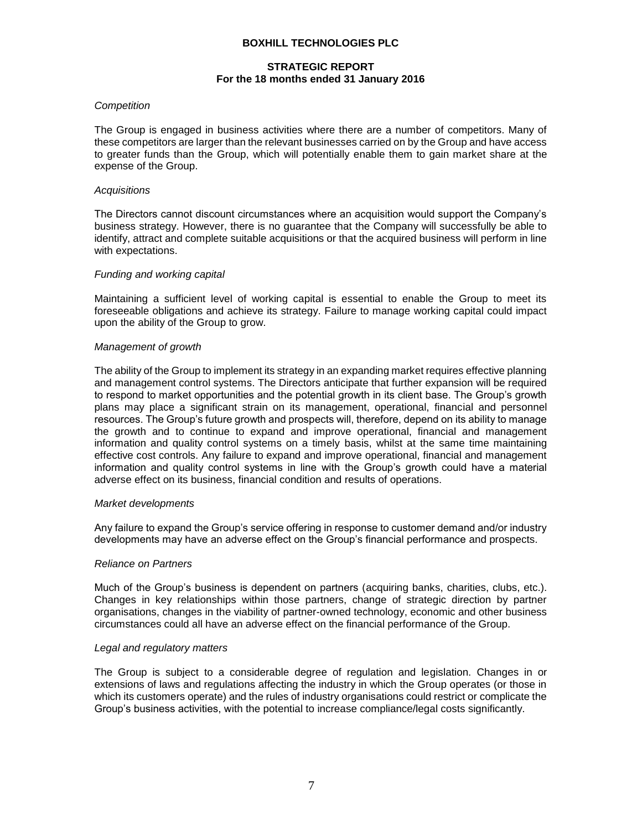## **STRATEGIC REPORT For the 18 months ended 31 January 2016**

## *Competition*

The Group is engaged in business activities where there are a number of competitors. Many of these competitors are larger than the relevant businesses carried on by the Group and have access to greater funds than the Group, which will potentially enable them to gain market share at the expense of the Group.

### *Acquisitions*

The Directors cannot discount circumstances where an acquisition would support the Company's business strategy. However, there is no guarantee that the Company will successfully be able to identify, attract and complete suitable acquisitions or that the acquired business will perform in line with expectations.

## *Funding and working capital*

Maintaining a sufficient level of working capital is essential to enable the Group to meet its foreseeable obligations and achieve its strategy. Failure to manage working capital could impact upon the ability of the Group to grow.

### *Management of growth*

The ability of the Group to implement its strategy in an expanding market requires effective planning and management control systems. The Directors anticipate that further expansion will be required to respond to market opportunities and the potential growth in its client base. The Group's growth plans may place a significant strain on its management, operational, financial and personnel resources. The Group's future growth and prospects will, therefore, depend on its ability to manage the growth and to continue to expand and improve operational, financial and management information and quality control systems on a timely basis, whilst at the same time maintaining effective cost controls. Any failure to expand and improve operational, financial and management information and quality control systems in line with the Group's growth could have a material adverse effect on its business, financial condition and results of operations.

#### *Market developments*

Any failure to expand the Group's service offering in response to customer demand and/or industry developments may have an adverse effect on the Group's financial performance and prospects.

#### *Reliance on Partners*

Much of the Group's business is dependent on partners (acquiring banks, charities, clubs, etc.). Changes in key relationships within those partners, change of strategic direction by partner organisations, changes in the viability of partner-owned technology, economic and other business circumstances could all have an adverse effect on the financial performance of the Group.

#### *Legal and regulatory matters*

The Group is subject to a considerable degree of regulation and legislation. Changes in or extensions of laws and regulations affecting the industry in which the Group operates (or those in which its customers operate) and the rules of industry organisations could restrict or complicate the Group's business activities, with the potential to increase compliance/legal costs significantly.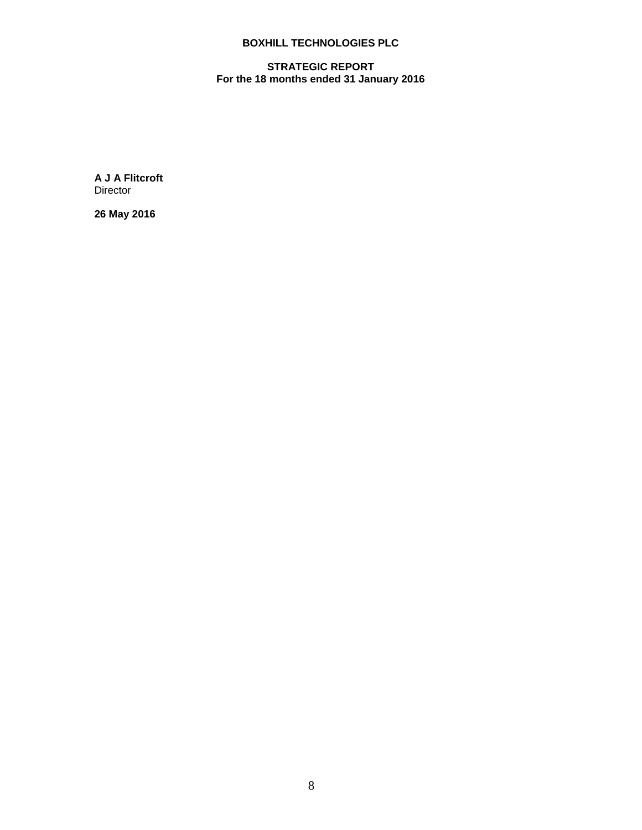# **STRATEGIC REPORT For the 18 months ended 31 January 2016**

**A J A Flitcroft** Director

**26 May 2016**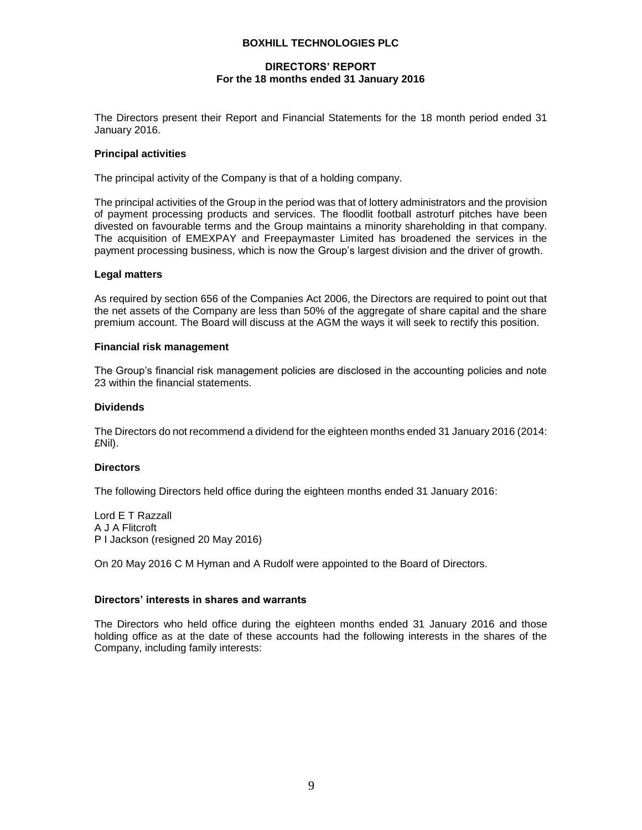## **DIRECTORS' REPORT For the 18 months ended 31 January 2016**

The Directors present their Report and Financial Statements for the 18 month period ended 31 January 2016.

### **Principal activities**

The principal activity of the Company is that of a holding company.

The principal activities of the Group in the period was that of lottery administrators and the provision of payment processing products and services. The floodlit football astroturf pitches have been divested on favourable terms and the Group maintains a minority shareholding in that company. The acquisition of EMEXPAY and Freepaymaster Limited has broadened the services in the payment processing business, which is now the Group's largest division and the driver of growth.

### **Legal matters**

As required by section 656 of the Companies Act 2006, the Directors are required to point out that the net assets of the Company are less than 50% of the aggregate of share capital and the share premium account. The Board will discuss at the AGM the ways it will seek to rectify this position.

### **Financial risk management**

The Group's financial risk management policies are disclosed in the accounting policies and note 23 within the financial statements.

### **Dividends**

The Directors do not recommend a dividend for the eighteen months ended 31 January 2016 (2014: £Nil).

#### **Directors**

The following Directors held office during the eighteen months ended 31 January 2016:

Lord E T Razzall A J A Flitcroft P I Jackson (resigned 20 May 2016)

On 20 May 2016 C M Hyman and A Rudolf were appointed to the Board of Directors.

## **Directors' interests in shares and warrants**

The Directors who held office during the eighteen months ended 31 January 2016 and those holding office as at the date of these accounts had the following interests in the shares of the Company, including family interests: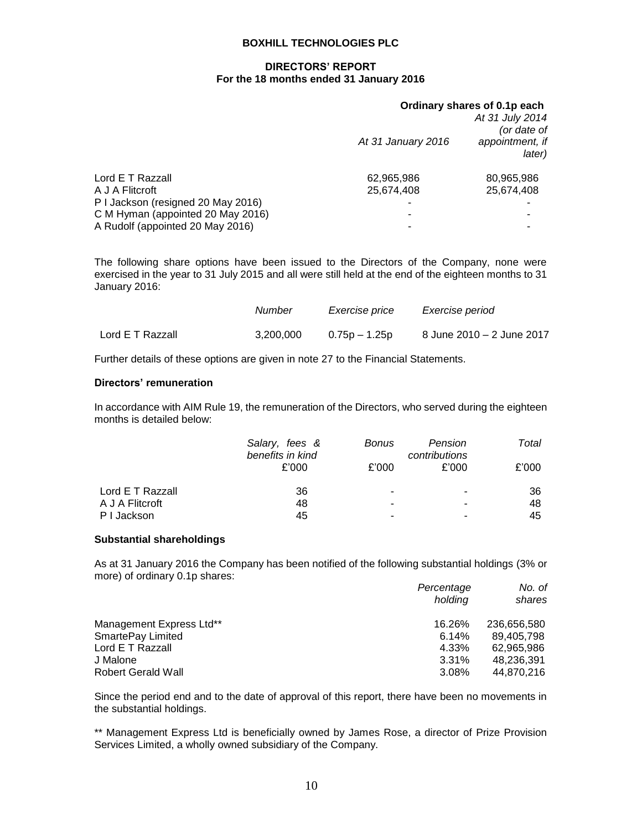### **DIRECTORS' REPORT For the 18 months ended 31 January 2016**

#### **Ordinary shares of 0.1p each**  *At 31 July 2014*

|                                    | At 31 January 2016 | $A\cup I$ JUIV $2U$ $I$ $4$<br>(or date of<br>appointment, if |  |
|------------------------------------|--------------------|---------------------------------------------------------------|--|
|                                    |                    | later)                                                        |  |
| Lord E T Razzall                   | 62,965,986         | 80,965,986                                                    |  |
| A J A Flitcroft                    | 25,674,408         | 25,674,408                                                    |  |
| P I Jackson (resigned 20 May 2016) |                    |                                                               |  |
| C M Hyman (appointed 20 May 2016)  |                    |                                                               |  |
| A Rudolf (appointed 20 May 2016)   |                    |                                                               |  |
|                                    |                    |                                                               |  |

The following share options have been issued to the Directors of the Company, none were exercised in the year to 31 July 2015 and all were still held at the end of the eighteen months to 31 January 2016:

|                  | Number    | <i>Exercise price</i> | Exercise period           |
|------------------|-----------|-----------------------|---------------------------|
| Lord E T Razzall | 3.200.000 | 0.75p – 1.25p         | 8 June 2010 – 2 June 2017 |

Further details of these options are given in note 27 to the Financial Statements.

#### **Directors' remuneration**

In accordance with AIM Rule 19, the remuneration of the Directors, who served during the eighteen months is detailed below:

|                  | Salary, fees &<br>benefits in kind | Bonus | Pension<br>contributions | Total |
|------------------|------------------------------------|-------|--------------------------|-------|
|                  | £'000                              | £'000 | £'000                    | £'000 |
| Lord E T Razzall | 36                                 | -     | ٠                        | 36    |
| A J A Flitcroft  | 48                                 |       | ۰                        | 48    |
| P I Jackson      | 45                                 | -     | $\blacksquare$           | 45    |

#### **Substantial shareholdings**

As at 31 January 2016 the Company has been notified of the following substantial holdings (3% or more) of ordinary 0.1p shares:

| Percentage<br>holding | No. of<br>shares |
|-----------------------|------------------|
| 16.26%                | 236.656.580      |
| 6.14%                 | 89.405.798       |
| 4.33%                 | 62.965.986       |
| 3.31%                 | 48,236,391       |
| 3.08%                 | 44,870,216       |
|                       |                  |

Since the period end and to the date of approval of this report, there have been no movements in the substantial holdings.

\*\* Management Express Ltd is beneficially owned by James Rose, a director of Prize Provision Services Limited, a wholly owned subsidiary of the Company.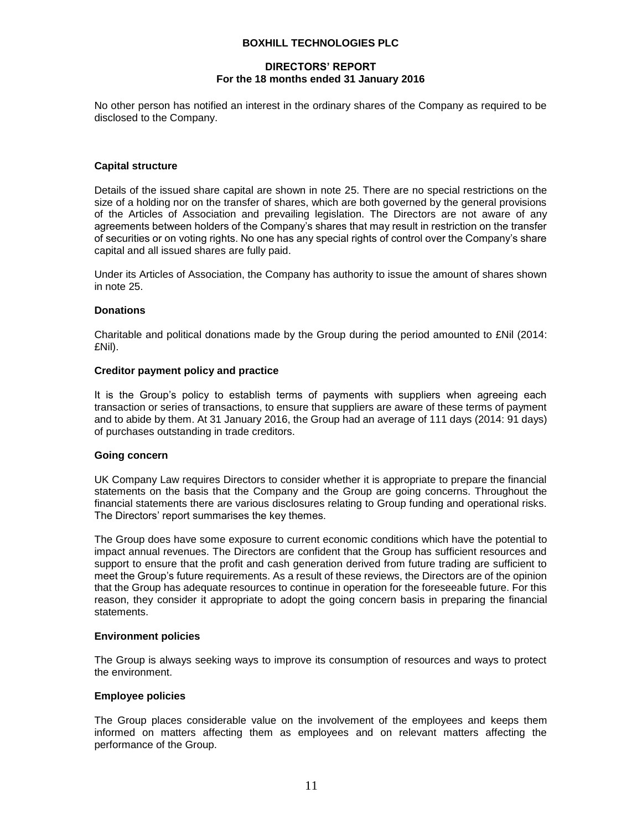## **DIRECTORS' REPORT For the 18 months ended 31 January 2016**

No other person has notified an interest in the ordinary shares of the Company as required to be disclosed to the Company.

## **Capital structure**

Details of the issued share capital are shown in note 25. There are no special restrictions on the size of a holding nor on the transfer of shares, which are both governed by the general provisions of the Articles of Association and prevailing legislation. The Directors are not aware of any agreements between holders of the Company's shares that may result in restriction on the transfer of securities or on voting rights. No one has any special rights of control over the Company's share capital and all issued shares are fully paid.

Under its Articles of Association, the Company has authority to issue the amount of shares shown in note 25.

## **Donations**

Charitable and political donations made by the Group during the period amounted to £Nil (2014: £Nil).

### **Creditor payment policy and practice**

It is the Group's policy to establish terms of payments with suppliers when agreeing each transaction or series of transactions, to ensure that suppliers are aware of these terms of payment and to abide by them. At 31 January 2016, the Group had an average of 111 days (2014: 91 days) of purchases outstanding in trade creditors.

#### **Going concern**

UK Company Law requires Directors to consider whether it is appropriate to prepare the financial statements on the basis that the Company and the Group are going concerns. Throughout the financial statements there are various disclosures relating to Group funding and operational risks. The Directors' report summarises the key themes.

The Group does have some exposure to current economic conditions which have the potential to impact annual revenues. The Directors are confident that the Group has sufficient resources and support to ensure that the profit and cash generation derived from future trading are sufficient to meet the Group's future requirements. As a result of these reviews, the Directors are of the opinion that the Group has adequate resources to continue in operation for the foreseeable future. For this reason, they consider it appropriate to adopt the going concern basis in preparing the financial statements.

#### **Environment policies**

The Group is always seeking ways to improve its consumption of resources and ways to protect the environment.

## **Employee policies**

The Group places considerable value on the involvement of the employees and keeps them informed on matters affecting them as employees and on relevant matters affecting the performance of the Group.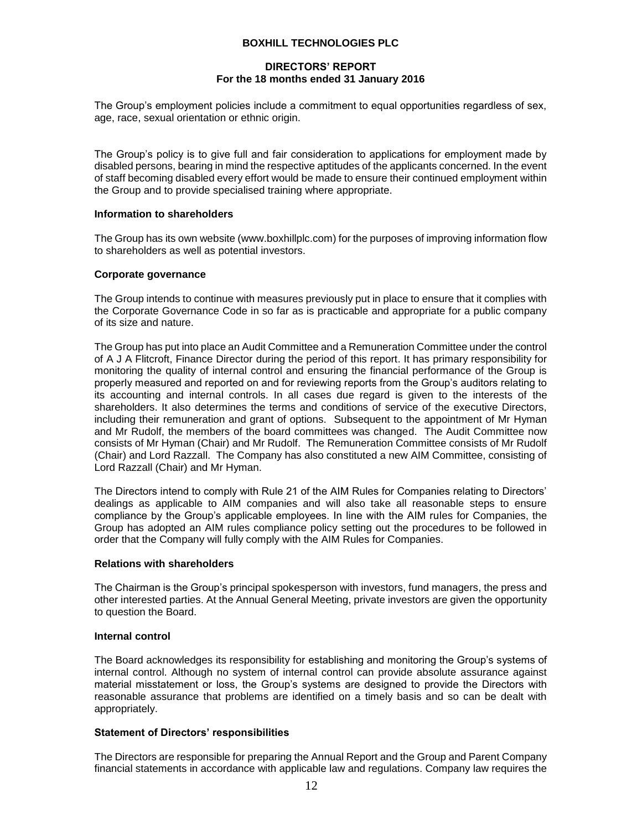## **DIRECTORS' REPORT For the 18 months ended 31 January 2016**

The Group's employment policies include a commitment to equal opportunities regardless of sex, age, race, sexual orientation or ethnic origin.

The Group's policy is to give full and fair consideration to applications for employment made by disabled persons, bearing in mind the respective aptitudes of the applicants concerned. In the event of staff becoming disabled every effort would be made to ensure their continued employment within the Group and to provide specialised training where appropriate.

## **Information to shareholders**

The Group has its own website (www.boxhillplc.com) for the purposes of improving information flow to shareholders as well as potential investors.

### **Corporate governance**

The Group intends to continue with measures previously put in place to ensure that it complies with the Corporate Governance Code in so far as is practicable and appropriate for a public company of its size and nature.

The Group has put into place an Audit Committee and a Remuneration Committee under the control of A J A Flitcroft, Finance Director during the period of this report. It has primary responsibility for monitoring the quality of internal control and ensuring the financial performance of the Group is properly measured and reported on and for reviewing reports from the Group's auditors relating to its accounting and internal controls. In all cases due regard is given to the interests of the shareholders. It also determines the terms and conditions of service of the executive Directors, including their remuneration and grant of options. Subsequent to the appointment of Mr Hyman and Mr Rudolf, the members of the board committees was changed. The Audit Committee now consists of Mr Hyman (Chair) and Mr Rudolf. The Remuneration Committee consists of Mr Rudolf (Chair) and Lord Razzall. The Company has also constituted a new AIM Committee, consisting of Lord Razzall (Chair) and Mr Hyman.

The Directors intend to comply with Rule 21 of the AIM Rules for Companies relating to Directors' dealings as applicable to AIM companies and will also take all reasonable steps to ensure compliance by the Group's applicable employees. In line with the AIM rules for Companies, the Group has adopted an AIM rules compliance policy setting out the procedures to be followed in order that the Company will fully comply with the AIM Rules for Companies.

#### **Relations with shareholders**

The Chairman is the Group's principal spokesperson with investors, fund managers, the press and other interested parties. At the Annual General Meeting, private investors are given the opportunity to question the Board.

## **Internal control**

The Board acknowledges its responsibility for establishing and monitoring the Group's systems of internal control. Although no system of internal control can provide absolute assurance against material misstatement or loss, the Group's systems are designed to provide the Directors with reasonable assurance that problems are identified on a timely basis and so can be dealt with appropriately.

## **Statement of Directors' responsibilities**

The Directors are responsible for preparing the Annual Report and the Group and Parent Company financial statements in accordance with applicable law and regulations. Company law requires the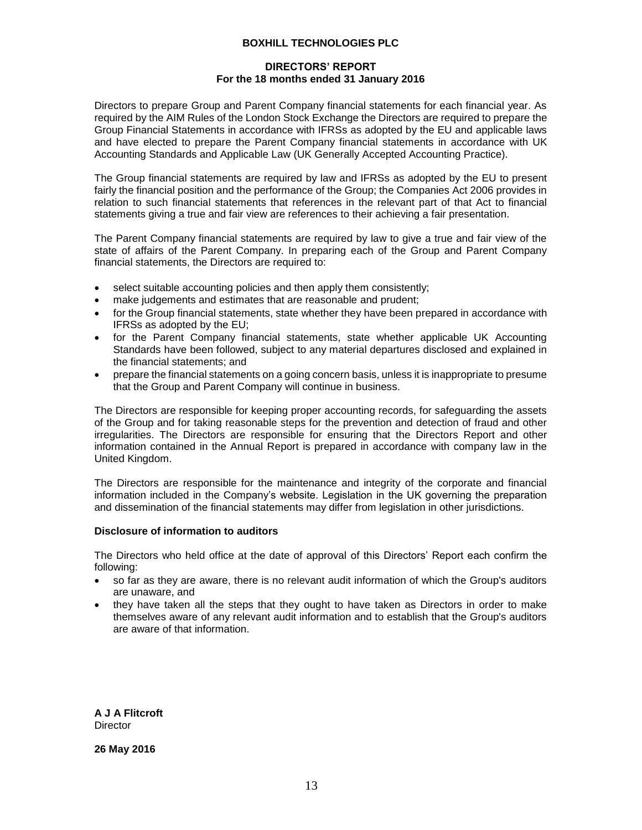## **DIRECTORS' REPORT For the 18 months ended 31 January 2016**

Directors to prepare Group and Parent Company financial statements for each financial year. As required by the AIM Rules of the London Stock Exchange the Directors are required to prepare the Group Financial Statements in accordance with IFRSs as adopted by the EU and applicable laws and have elected to prepare the Parent Company financial statements in accordance with UK Accounting Standards and Applicable Law (UK Generally Accepted Accounting Practice).

The Group financial statements are required by law and IFRSs as adopted by the EU to present fairly the financial position and the performance of the Group; the Companies Act 2006 provides in relation to such financial statements that references in the relevant part of that Act to financial statements giving a true and fair view are references to their achieving a fair presentation.

The Parent Company financial statements are required by law to give a true and fair view of the state of affairs of the Parent Company. In preparing each of the Group and Parent Company financial statements, the Directors are required to:

- select suitable accounting policies and then apply them consistently;
- make judgements and estimates that are reasonable and prudent;
- for the Group financial statements, state whether they have been prepared in accordance with IFRSs as adopted by the EU;
- for the Parent Company financial statements, state whether applicable UK Accounting Standards have been followed, subject to any material departures disclosed and explained in the financial statements; and
- prepare the financial statements on a going concern basis, unless it is inappropriate to presume that the Group and Parent Company will continue in business.

The Directors are responsible for keeping proper accounting records, for safeguarding the assets of the Group and for taking reasonable steps for the prevention and detection of fraud and other irregularities. The Directors are responsible for ensuring that the Directors Report and other information contained in the Annual Report is prepared in accordance with company law in the United Kingdom.

The Directors are responsible for the maintenance and integrity of the corporate and financial information included in the Company's website. Legislation in the UK governing the preparation and dissemination of the financial statements may differ from legislation in other jurisdictions.

## **Disclosure of information to auditors**

The Directors who held office at the date of approval of this Directors' Report each confirm the following:

- so far as they are aware, there is no relevant audit information of which the Group's auditors are unaware, and
- they have taken all the steps that they ought to have taken as Directors in order to make themselves aware of any relevant audit information and to establish that the Group's auditors are aware of that information.

**A J A Flitcroft Director** 

**26 May 2016**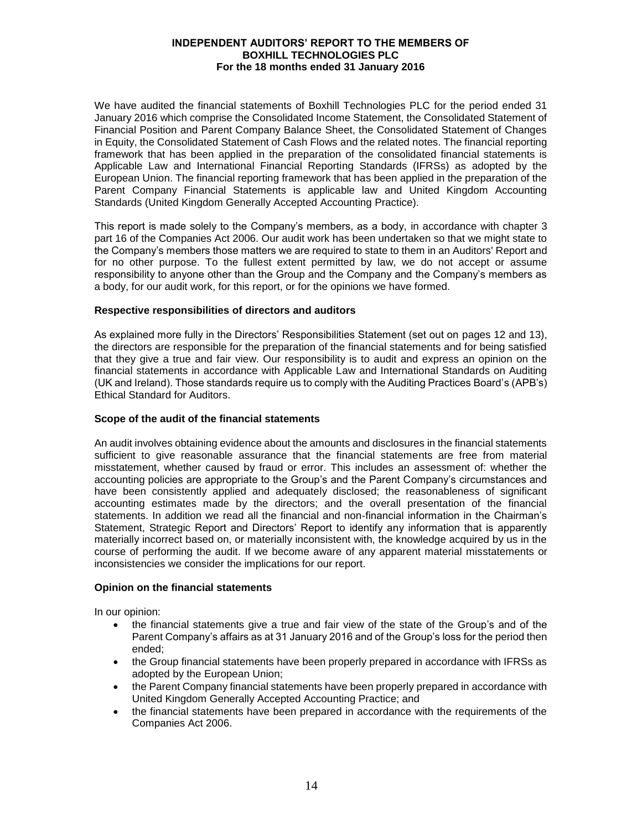## **INDEPENDENT AUDITORS' REPORT TO THE MEMBERS OF BOXHILL TECHNOLOGIES PLC For the 18 months ended 31 January 2016**

We have audited the financial statements of Boxhill Technologies PLC for the period ended 31 January 2016 which comprise the Consolidated Income Statement, the Consolidated Statement of Financial Position and Parent Company Balance Sheet, the Consolidated Statement of Changes in Equity, the Consolidated Statement of Cash Flows and the related notes. The financial reporting framework that has been applied in the preparation of the consolidated financial statements is Applicable Law and International Financial Reporting Standards (IFRSs) as adopted by the European Union. The financial reporting framework that has been applied in the preparation of the Parent Company Financial Statements is applicable law and United Kingdom Accounting Standards (United Kingdom Generally Accepted Accounting Practice).

This report is made solely to the Company's members, as a body, in accordance with chapter 3 part 16 of the Companies Act 2006. Our audit work has been undertaken so that we might state to the Company's members those matters we are required to state to them in an Auditors' Report and for no other purpose. To the fullest extent permitted by law, we do not accept or assume responsibility to anyone other than the Group and the Company and the Company's members as a body, for our audit work, for this report, or for the opinions we have formed.

## **Respective responsibilities of directors and auditors**

As explained more fully in the Directors' Responsibilities Statement (set out on pages 12 and 13), the directors are responsible for the preparation of the financial statements and for being satisfied that they give a true and fair view. Our responsibility is to audit and express an opinion on the financial statements in accordance with Applicable Law and International Standards on Auditing (UK and Ireland). Those standards require us to comply with the Auditing Practices Board's (APB's) Ethical Standard for Auditors.

## **Scope of the audit of the financial statements**

An audit involves obtaining evidence about the amounts and disclosures in the financial statements sufficient to give reasonable assurance that the financial statements are free from material misstatement, whether caused by fraud or error. This includes an assessment of: whether the accounting policies are appropriate to the Group's and the Parent Company's circumstances and have been consistently applied and adequately disclosed; the reasonableness of significant accounting estimates made by the directors; and the overall presentation of the financial statements. In addition we read all the financial and non-financial information in the Chairman's Statement, Strategic Report and Directors' Report to identify any information that is apparently materially incorrect based on, or materially inconsistent with, the knowledge acquired by us in the course of performing the audit. If we become aware of any apparent material misstatements or inconsistencies we consider the implications for our report.

## **Opinion on the financial statements**

In our opinion:

- the financial statements give a true and fair view of the state of the Group's and of the Parent Company's affairs as at 31 January 2016 and of the Group's loss for the period then ended;
- the Group financial statements have been properly prepared in accordance with IFRSs as adopted by the European Union;
- the Parent Company financial statements have been properly prepared in accordance with United Kingdom Generally Accepted Accounting Practice; and
- the financial statements have been prepared in accordance with the requirements of the Companies Act 2006.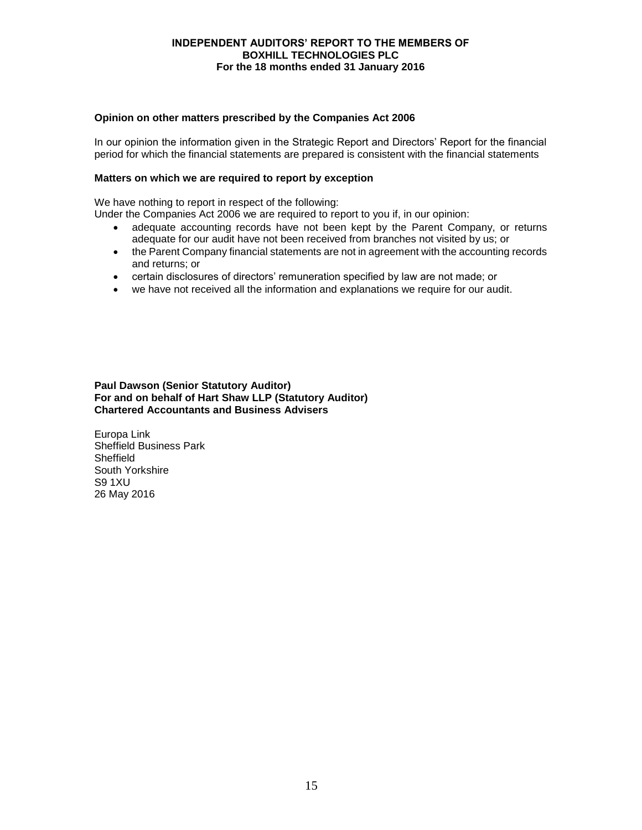## **INDEPENDENT AUDITORS' REPORT TO THE MEMBERS OF BOXHILL TECHNOLOGIES PLC For the 18 months ended 31 January 2016**

## **Opinion on other matters prescribed by the Companies Act 2006**

In our opinion the information given in the Strategic Report and Directors' Report for the financial period for which the financial statements are prepared is consistent with the financial statements

## **Matters on which we are required to report by exception**

We have nothing to report in respect of the following: Under the Companies Act 2006 we are required to report to you if, in our opinion:

- adequate accounting records have not been kept by the Parent Company, or returns adequate for our audit have not been received from branches not visited by us; or
- the Parent Company financial statements are not in agreement with the accounting records and returns; or
- certain disclosures of directors' remuneration specified by law are not made; or
- we have not received all the information and explanations we require for our audit.

## **Paul Dawson (Senior Statutory Auditor) For and on behalf of Hart Shaw LLP (Statutory Auditor) Chartered Accountants and Business Advisers**

Europa Link Sheffield Business Park **Sheffield** South Yorkshire S9 1XU 26 May 2016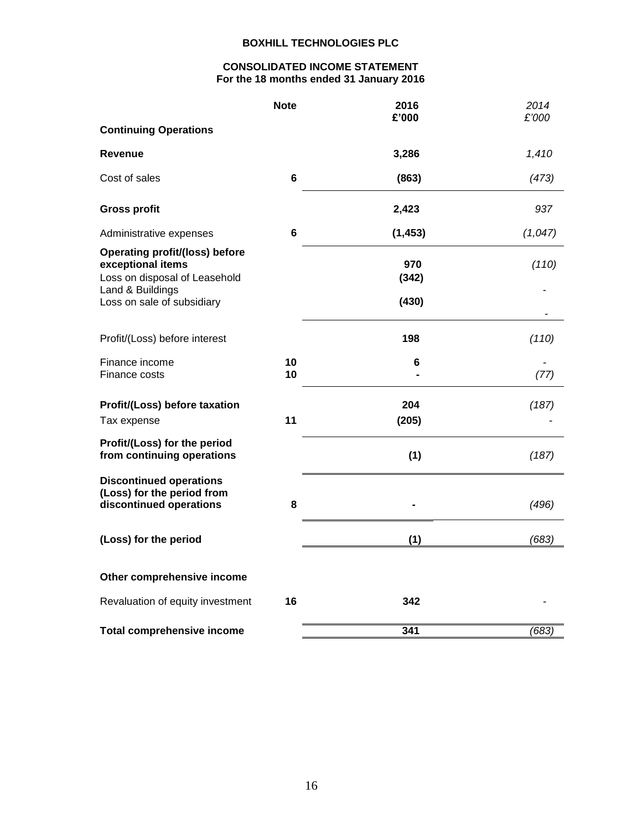# **CONSOLIDATED INCOME STATEMENT For the 18 months ended 31 January 2016**

|                                                                                                                                               | <b>Note</b>    | 2016<br>£'000         | 2014<br>£'000 |
|-----------------------------------------------------------------------------------------------------------------------------------------------|----------------|-----------------------|---------------|
| <b>Continuing Operations</b>                                                                                                                  |                |                       |               |
| Revenue                                                                                                                                       |                | 3,286                 | 1,410         |
| Cost of sales                                                                                                                                 | $6\phantom{1}$ | (863)                 | (473)         |
| <b>Gross profit</b>                                                                                                                           |                | 2,423                 | 937           |
| Administrative expenses                                                                                                                       | $\bf 6$        | (1, 453)              | (1,047)       |
| <b>Operating profit/(loss) before</b><br>exceptional items<br>Loss on disposal of Leasehold<br>Land & Buildings<br>Loss on sale of subsidiary |                | 970<br>(342)<br>(430) | (110)         |
|                                                                                                                                               |                |                       |               |
| Profit/(Loss) before interest                                                                                                                 |                | 198                   | (110)         |
| Finance income<br>Finance costs                                                                                                               | 10<br>10       | 6                     | (77)          |
| Profit/(Loss) before taxation<br>Tax expense                                                                                                  | 11             | 204<br>(205)          | (187)         |
| Profit/(Loss) for the period<br>from continuing operations                                                                                    |                | (1)                   | (187)         |
| <b>Discontinued operations</b><br>(Loss) for the period from<br>discontinued operations                                                       | 8              |                       | (496)         |
| (Loss) for the period                                                                                                                         |                | (1)                   | (683)         |
| Other comprehensive income                                                                                                                    |                |                       |               |
| Revaluation of equity investment                                                                                                              | 16             | 342                   |               |
| <b>Total comprehensive income</b>                                                                                                             |                | 341                   | (683)         |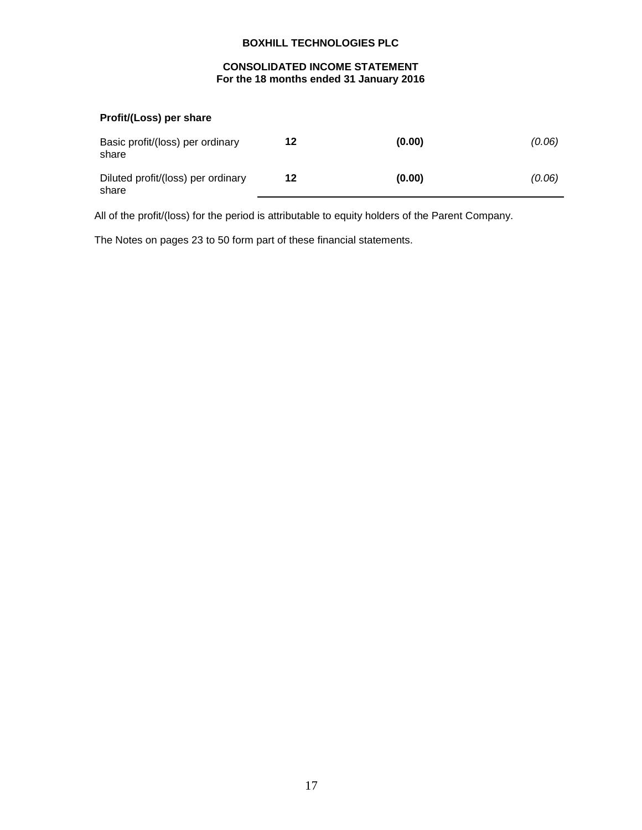## **CONSOLIDATED INCOME STATEMENT For the 18 months ended 31 January 2016**

# **Profit/(Loss) per share**

| Basic profit/(loss) per ordinary<br>share   | 12 | (0.00) | (0.06) |
|---------------------------------------------|----|--------|--------|
| Diluted profit/(loss) per ordinary<br>share | 12 | (0.00) | (0.06) |

All of the profit/(loss) for the period is attributable to equity holders of the Parent Company.

The Notes on pages 23 to 50 form part of these financial statements.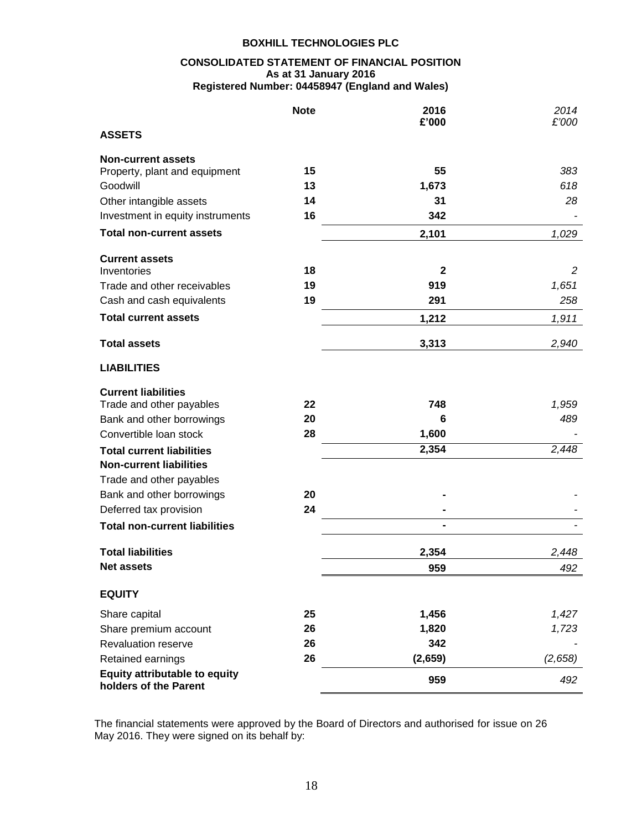## **CONSOLIDATED STATEMENT OF FINANCIAL POSITION As at 31 January 2016 Registered Number: 04458947 (England and Wales)**

|                                                               | <b>Note</b> | 2016<br>£'000 | 2014<br>£'000 |
|---------------------------------------------------------------|-------------|---------------|---------------|
| <b>ASSETS</b>                                                 |             |               |               |
| <b>Non-current assets</b>                                     |             |               |               |
| Property, plant and equipment                                 | 15          | 55            | 383           |
| Goodwill                                                      | 13          | 1,673         | 618           |
| Other intangible assets                                       | 14          | 31            | 28            |
| Investment in equity instruments                              | 16          | 342           |               |
| <b>Total non-current assets</b>                               |             | 2,101         | 1,029         |
| <b>Current assets</b>                                         |             |               |               |
| Inventories                                                   | 18          | $\mathbf{2}$  | 2             |
| Trade and other receivables                                   | 19          | 919           | 1,651         |
| Cash and cash equivalents                                     | 19          | 291           | 258           |
| <b>Total current assets</b>                                   |             | 1,212         | 1,911         |
| <b>Total assets</b>                                           |             | 3,313         | 2,940         |
| <b>LIABILITIES</b>                                            |             |               |               |
| <b>Current liabilities</b>                                    |             |               |               |
| Trade and other payables                                      | 22          | 748           | 1,959         |
| Bank and other borrowings                                     | 20          | 6             | 489           |
| Convertible loan stock                                        | 28          | 1,600         |               |
| <b>Total current liabilities</b>                              |             | 2,354         | 2,448         |
| <b>Non-current liabilities</b>                                |             |               |               |
| Trade and other payables                                      |             |               |               |
| Bank and other borrowings                                     | 20          |               |               |
| Deferred tax provision                                        | 24          |               |               |
| <b>Total non-current liabilities</b>                          |             |               |               |
| <b>Total liabilities</b>                                      |             | 2,354         | 2,448         |
| <b>Net assets</b>                                             |             | 959           | 492           |
| <b>EQUITY</b>                                                 |             |               |               |
| Share capital                                                 | 25          | 1,456         | 1,427         |
| Share premium account                                         | 26          | 1,820         | 1,723         |
| <b>Revaluation reserve</b>                                    | 26          | 342           |               |
| Retained earnings                                             | 26          | (2,659)       | (2,658)       |
| <b>Equity attributable to equity</b><br>holders of the Parent |             | 959           | 492           |

The financial statements were approved by the Board of Directors and authorised for issue on 26 May 2016. They were signed on its behalf by: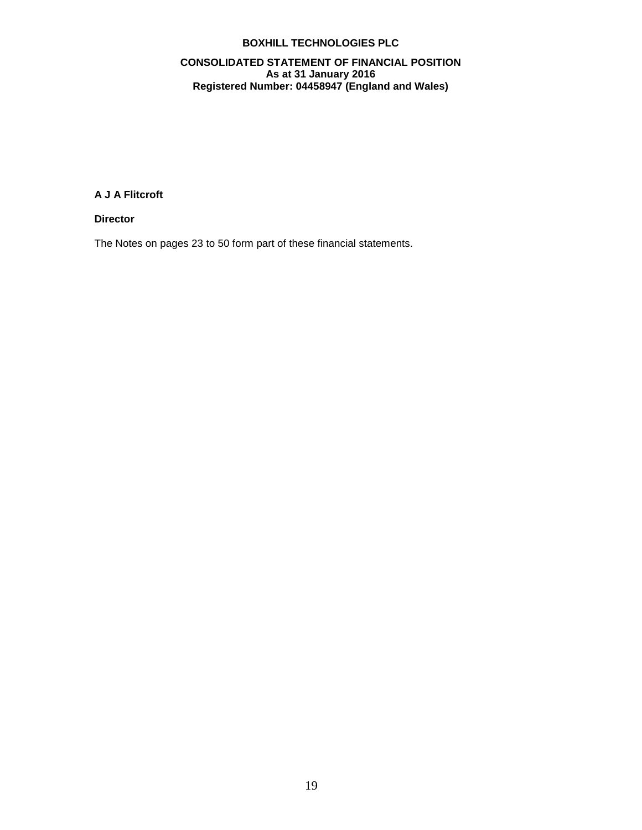## **CONSOLIDATED STATEMENT OF FINANCIAL POSITION As at 31 January 2016 Registered Number: 04458947 (England and Wales)**

**A J A Flitcroft**

**Director**

The Notes on pages 23 to 50 form part of these financial statements.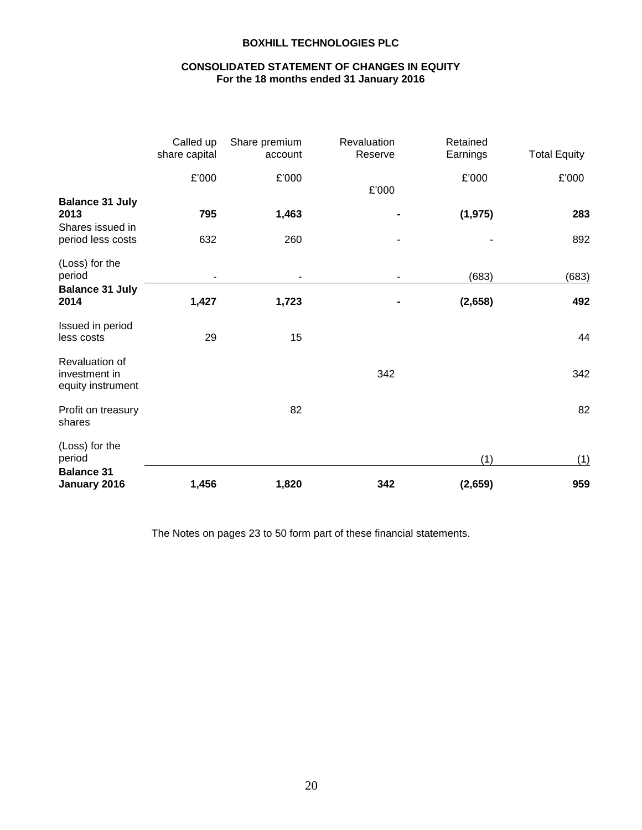# **CONSOLIDATED STATEMENT OF CHANGES IN EQUITY For the 18 months ended 31 January 2016**

|                                                      | Called up<br>share capital | Share premium<br>account | Revaluation<br>Reserve | Retained<br>Earnings | <b>Total Equity</b> |
|------------------------------------------------------|----------------------------|--------------------------|------------------------|----------------------|---------------------|
|                                                      | £'000                      | £'000                    | £'000                  | £'000                | £'000               |
| <b>Balance 31 July</b><br>2013<br>Shares issued in   | 795                        | 1,463                    |                        | (1, 975)             | 283                 |
| period less costs                                    | 632                        | 260                      |                        |                      | 892                 |
| (Loss) for the<br>period                             |                            |                          |                        | (683)                | (683)               |
| <b>Balance 31 July</b><br>2014                       | 1,427                      | 1,723                    |                        | (2,658)              | 492                 |
| Issued in period<br>less costs                       | 29                         | 15                       |                        |                      | 44                  |
| Revaluation of<br>investment in<br>equity instrument |                            |                          | 342                    |                      | 342                 |
| Profit on treasury<br>shares                         |                            | 82                       |                        |                      | 82                  |
| (Loss) for the<br>period                             |                            |                          |                        | (1)                  | (1)                 |
| <b>Balance 31</b><br>January 2016                    | 1,456                      | 1,820                    | 342                    | (2,659)              | 959                 |

The Notes on pages 23 to 50 form part of these financial statements.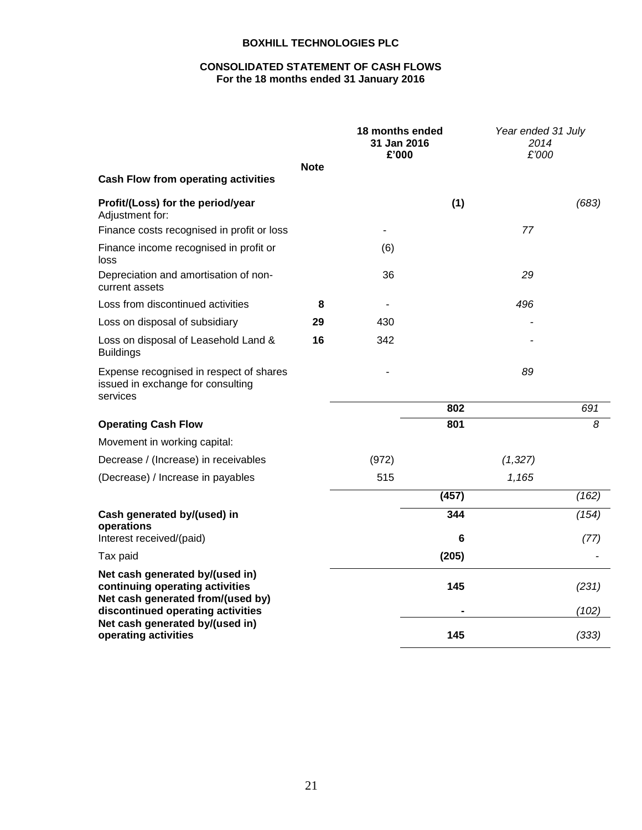# **CONSOLIDATED STATEMENT OF CASH FLOWS For the 18 months ended 31 January 2016**

|                                                                                          |             |       | 18 months ended<br>31 Jan 2016<br>£'000 |          | Year ended 31 July<br>2014<br>£'000 |  |
|------------------------------------------------------------------------------------------|-------------|-------|-----------------------------------------|----------|-------------------------------------|--|
| <b>Cash Flow from operating activities</b>                                               | <b>Note</b> |       |                                         |          |                                     |  |
| Profit/(Loss) for the period/year<br>Adjustment for:                                     |             |       | (1)                                     |          | (683)                               |  |
| Finance costs recognised in profit or loss                                               |             |       |                                         | 77       |                                     |  |
| Finance income recognised in profit or<br>loss                                           |             | (6)   |                                         |          |                                     |  |
| Depreciation and amortisation of non-<br>current assets                                  |             | 36    |                                         | 29       |                                     |  |
| Loss from discontinued activities                                                        | 8           |       |                                         | 496      |                                     |  |
| Loss on disposal of subsidiary                                                           | 29          | 430   |                                         |          |                                     |  |
| Loss on disposal of Leasehold Land &<br><b>Buildings</b>                                 | 16          | 342   |                                         |          |                                     |  |
| Expense recognised in respect of shares<br>issued in exchange for consulting<br>services |             |       |                                         | 89       |                                     |  |
|                                                                                          |             |       | 802                                     |          | 691                                 |  |
| <b>Operating Cash Flow</b>                                                               |             |       | 801                                     |          | 8                                   |  |
| Movement in working capital:                                                             |             |       |                                         |          |                                     |  |
| Decrease / (Increase) in receivables                                                     |             | (972) |                                         | (1, 327) |                                     |  |
| (Decrease) / Increase in payables                                                        |             | 515   |                                         | 1,165    |                                     |  |
|                                                                                          |             |       | (457)                                   |          | (162)                               |  |
| Cash generated by/(used) in<br>operations                                                |             |       | 344                                     |          | (154)                               |  |
| Interest received/(paid)                                                                 |             |       | 6                                       |          | (77)                                |  |
| Tax paid                                                                                 |             |       | (205)                                   |          |                                     |  |
| Net cash generated by/(used in)<br>continuing operating activities                       |             |       | 145                                     |          | (231)                               |  |
| Net cash generated from/(used by)<br>discontinued operating activities                   |             |       |                                         |          | (102)                               |  |
| Net cash generated by/(used in)<br>operating activities                                  |             |       | 145                                     |          | (333)                               |  |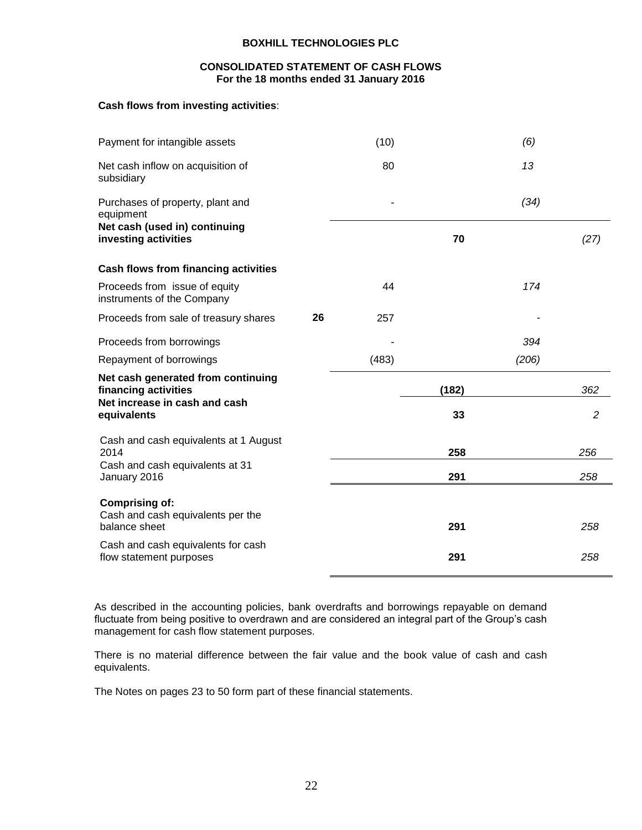## **CONSOLIDATED STATEMENT OF CASH FLOWS For the 18 months ended 31 January 2016**

## **Cash flows from investing activities**:

| Payment for intangible assets                                                  |    | (10)  |       | (6)   |                |
|--------------------------------------------------------------------------------|----|-------|-------|-------|----------------|
| Net cash inflow on acquisition of<br>subsidiary                                |    | 80    |       | 13    |                |
| Purchases of property, plant and<br>equipment<br>Net cash (used in) continuing |    |       |       | (34)  |                |
| investing activities                                                           |    |       | 70    |       | (27)           |
| <b>Cash flows from financing activities</b>                                    |    |       |       |       |                |
| Proceeds from issue of equity<br>instruments of the Company                    |    | 44    |       | 174   |                |
| Proceeds from sale of treasury shares                                          | 26 | 257   |       |       |                |
| Proceeds from borrowings                                                       |    |       |       | 394   |                |
| Repayment of borrowings                                                        |    | (483) |       | (206) |                |
| Net cash generated from continuing<br>financing activities                     |    |       | (182) |       | 362            |
| Net increase in cash and cash<br>equivalents                                   |    |       | 33    |       | $\overline{c}$ |
| Cash and cash equivalents at 1 August<br>2014                                  |    |       | 258   |       | 256            |
| Cash and cash equivalents at 31<br>January 2016                                |    |       | 291   |       | 258            |
| <b>Comprising of:</b>                                                          |    |       |       |       |                |
| Cash and cash equivalents per the<br>balance sheet                             |    |       | 291   |       | 258            |
| Cash and cash equivalents for cash<br>flow statement purposes                  |    |       | 291   |       | 258            |

As described in the accounting policies, bank overdrafts and borrowings repayable on demand fluctuate from being positive to overdrawn and are considered an integral part of the Group's cash management for cash flow statement purposes.

There is no material difference between the fair value and the book value of cash and cash equivalents.

The Notes on pages 23 to 50 form part of these financial statements.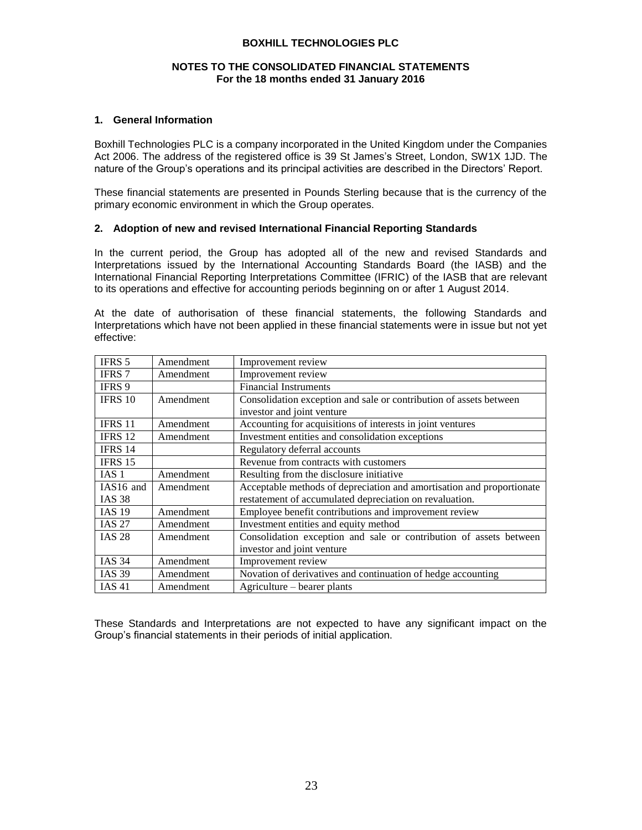## **NOTES TO THE CONSOLIDATED FINANCIAL STATEMENTS For the 18 months ended 31 January 2016**

## **1. General Information**

Boxhill Technologies PLC is a company incorporated in the United Kingdom under the Companies Act 2006. The address of the registered office is 39 St James's Street, London, SW1X 1JD. The nature of the Group's operations and its principal activities are described in the Directors' Report.

These financial statements are presented in Pounds Sterling because that is the currency of the primary economic environment in which the Group operates.

### **2. Adoption of new and revised International Financial Reporting Standards**

In the current period, the Group has adopted all of the new and revised Standards and Interpretations issued by the International Accounting Standards Board (the IASB) and the International Financial Reporting Interpretations Committee (IFRIC) of the IASB that are relevant to its operations and effective for accounting periods beginning on or after 1 August 2014.

At the date of authorisation of these financial statements, the following Standards and Interpretations which have not been applied in these financial statements were in issue but not yet effective:

| <b>IFRS 5</b>    | Amendment | Improvement review                                                    |
|------------------|-----------|-----------------------------------------------------------------------|
| <b>IFRS</b> 7    | Amendment | Improvement review                                                    |
| IFRS 9           |           | <b>Financial Instruments</b>                                          |
| IFRS 10          | Amendment | Consolidation exception and sale or contribution of assets between    |
|                  |           | investor and joint venture                                            |
| <b>IFRS 11</b>   | Amendment | Accounting for acquisitions of interests in joint ventures            |
| IFRS 12          | Amendment | Investment entities and consolidation exceptions                      |
| IFRS 14          |           | Regulatory deferral accounts                                          |
| IFRS 15          |           | Revenue from contracts with customers                                 |
| IAS <sub>1</sub> | Amendment | Resulting from the disclosure initiative                              |
| IAS16 and        | Amendment | Acceptable methods of depreciation and amortisation and proportionate |
| <b>IAS 38</b>    |           | restatement of accumulated depreciation on revaluation.               |
| <b>IAS 19</b>    | Amendment | Employee benefit contributions and improvement review                 |
| <b>IAS 27</b>    | Amendment | Investment entities and equity method                                 |
| <b>IAS 28</b>    | Amendment | Consolidation exception and sale or contribution of assets between    |
|                  |           | investor and joint venture                                            |
| <b>IAS 34</b>    | Amendment | Improvement review                                                    |
| <b>IAS 39</b>    | Amendment | Novation of derivatives and continuation of hedge accounting          |
| <b>IAS 41</b>    | Amendment | Agriculture – bearer plants                                           |

These Standards and Interpretations are not expected to have any significant impact on the Group's financial statements in their periods of initial application.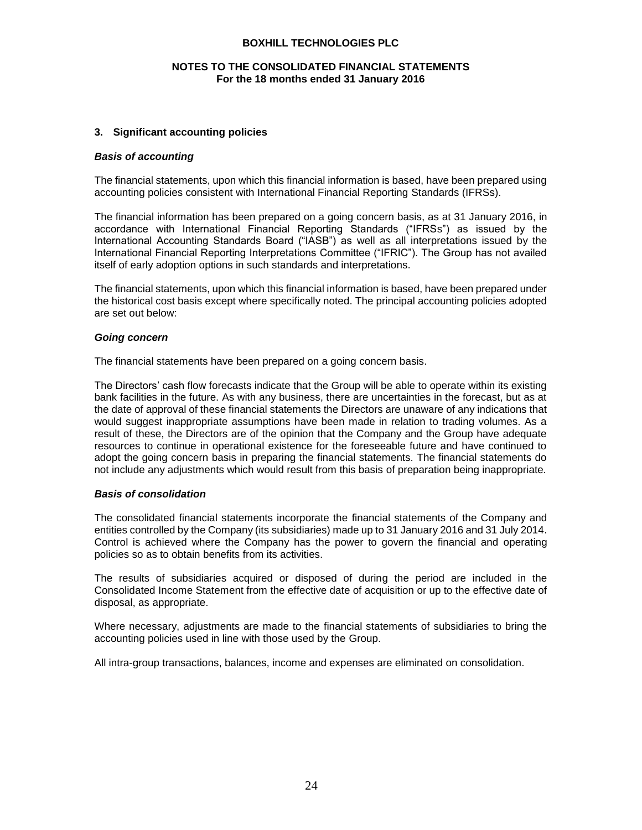## **NOTES TO THE CONSOLIDATED FINANCIAL STATEMENTS For the 18 months ended 31 January 2016**

## **3. Significant accounting policies**

### *Basis of accounting*

The financial statements, upon which this financial information is based, have been prepared using accounting policies consistent with International Financial Reporting Standards (IFRSs).

The financial information has been prepared on a going concern basis, as at 31 January 2016, in accordance with International Financial Reporting Standards ("IFRSs") as issued by the International Accounting Standards Board ("IASB") as well as all interpretations issued by the International Financial Reporting Interpretations Committee ("IFRIC"). The Group has not availed itself of early adoption options in such standards and interpretations.

The financial statements, upon which this financial information is based, have been prepared under the historical cost basis except where specifically noted. The principal accounting policies adopted are set out below:

### *Going concern*

The financial statements have been prepared on a going concern basis.

The Directors' cash flow forecasts indicate that the Group will be able to operate within its existing bank facilities in the future. As with any business, there are uncertainties in the forecast, but as at the date of approval of these financial statements the Directors are unaware of any indications that would suggest inappropriate assumptions have been made in relation to trading volumes. As a result of these, the Directors are of the opinion that the Company and the Group have adequate resources to continue in operational existence for the foreseeable future and have continued to adopt the going concern basis in preparing the financial statements. The financial statements do not include any adjustments which would result from this basis of preparation being inappropriate.

#### *Basis of consolidation*

The consolidated financial statements incorporate the financial statements of the Company and entities controlled by the Company (its subsidiaries) made up to 31 January 2016 and 31 July 2014. Control is achieved where the Company has the power to govern the financial and operating policies so as to obtain benefits from its activities.

The results of subsidiaries acquired or disposed of during the period are included in the Consolidated Income Statement from the effective date of acquisition or up to the effective date of disposal, as appropriate.

Where necessary, adjustments are made to the financial statements of subsidiaries to bring the accounting policies used in line with those used by the Group.

All intra-group transactions, balances, income and expenses are eliminated on consolidation.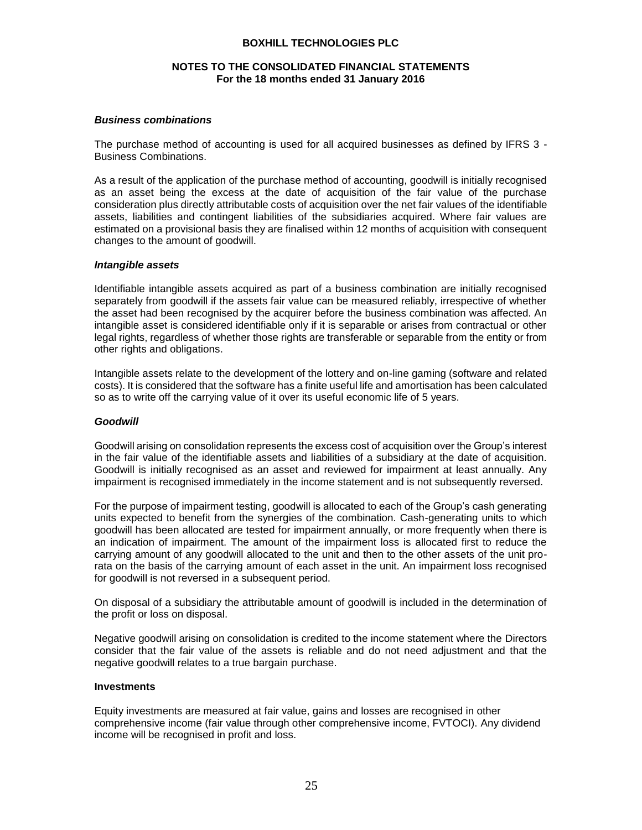## **NOTES TO THE CONSOLIDATED FINANCIAL STATEMENTS For the 18 months ended 31 January 2016**

## *Business combinations*

The purchase method of accounting is used for all acquired businesses as defined by IFRS 3 - Business Combinations.

As a result of the application of the purchase method of accounting, goodwill is initially recognised as an asset being the excess at the date of acquisition of the fair value of the purchase consideration plus directly attributable costs of acquisition over the net fair values of the identifiable assets, liabilities and contingent liabilities of the subsidiaries acquired. Where fair values are estimated on a provisional basis they are finalised within 12 months of acquisition with consequent changes to the amount of goodwill.

### *Intangible assets*

Identifiable intangible assets acquired as part of a business combination are initially recognised separately from goodwill if the assets fair value can be measured reliably, irrespective of whether the asset had been recognised by the acquirer before the business combination was affected. An intangible asset is considered identifiable only if it is separable or arises from contractual or other legal rights, regardless of whether those rights are transferable or separable from the entity or from other rights and obligations.

Intangible assets relate to the development of the lottery and on-line gaming (software and related costs). It is considered that the software has a finite useful life and amortisation has been calculated so as to write off the carrying value of it over its useful economic life of 5 years.

## *Goodwill*

Goodwill arising on consolidation represents the excess cost of acquisition over the Group's interest in the fair value of the identifiable assets and liabilities of a subsidiary at the date of acquisition. Goodwill is initially recognised as an asset and reviewed for impairment at least annually. Any impairment is recognised immediately in the income statement and is not subsequently reversed.

For the purpose of impairment testing, goodwill is allocated to each of the Group's cash generating units expected to benefit from the synergies of the combination. Cash-generating units to which goodwill has been allocated are tested for impairment annually, or more frequently when there is an indication of impairment. The amount of the impairment loss is allocated first to reduce the carrying amount of any goodwill allocated to the unit and then to the other assets of the unit prorata on the basis of the carrying amount of each asset in the unit. An impairment loss recognised for goodwill is not reversed in a subsequent period.

On disposal of a subsidiary the attributable amount of goodwill is included in the determination of the profit or loss on disposal.

Negative goodwill arising on consolidation is credited to the income statement where the Directors consider that the fair value of the assets is reliable and do not need adjustment and that the negative goodwill relates to a true bargain purchase.

#### **Investments**

Equity investments are measured at fair value, gains and losses are recognised in other comprehensive income (fair value through other comprehensive income, FVTOCI). Any dividend income will be recognised in profit and loss.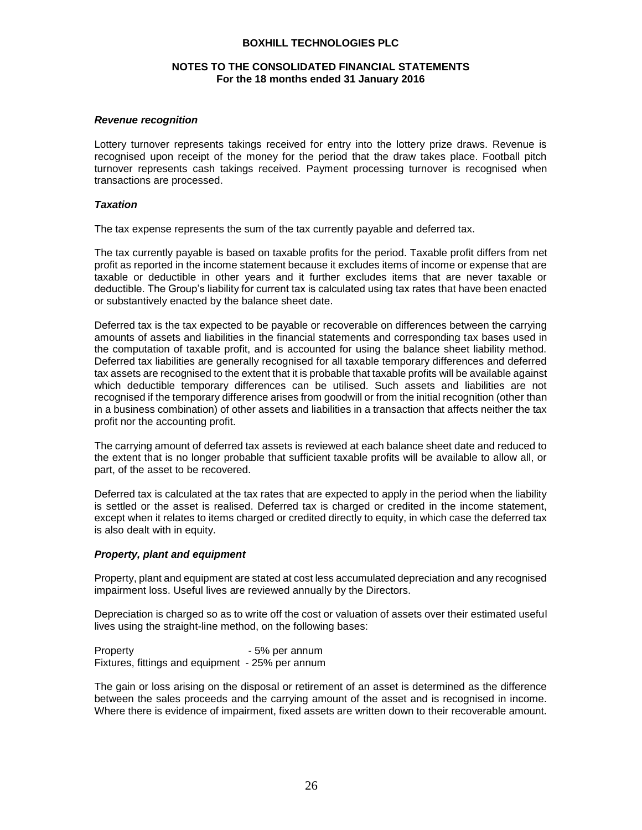## **NOTES TO THE CONSOLIDATED FINANCIAL STATEMENTS For the 18 months ended 31 January 2016**

### *Revenue recognition*

Lottery turnover represents takings received for entry into the lottery prize draws. Revenue is recognised upon receipt of the money for the period that the draw takes place. Football pitch turnover represents cash takings received. Payment processing turnover is recognised when transactions are processed.

### *Taxation*

The tax expense represents the sum of the tax currently payable and deferred tax.

The tax currently payable is based on taxable profits for the period. Taxable profit differs from net profit as reported in the income statement because it excludes items of income or expense that are taxable or deductible in other years and it further excludes items that are never taxable or deductible. The Group's liability for current tax is calculated using tax rates that have been enacted or substantively enacted by the balance sheet date.

Deferred tax is the tax expected to be payable or recoverable on differences between the carrying amounts of assets and liabilities in the financial statements and corresponding tax bases used in the computation of taxable profit, and is accounted for using the balance sheet liability method. Deferred tax liabilities are generally recognised for all taxable temporary differences and deferred tax assets are recognised to the extent that it is probable that taxable profits will be available against which deductible temporary differences can be utilised. Such assets and liabilities are not recognised if the temporary difference arises from goodwill or from the initial recognition (other than in a business combination) of other assets and liabilities in a transaction that affects neither the tax profit nor the accounting profit.

The carrying amount of deferred tax assets is reviewed at each balance sheet date and reduced to the extent that is no longer probable that sufficient taxable profits will be available to allow all, or part, of the asset to be recovered.

Deferred tax is calculated at the tax rates that are expected to apply in the period when the liability is settled or the asset is realised. Deferred tax is charged or credited in the income statement, except when it relates to items charged or credited directly to equity, in which case the deferred tax is also dealt with in equity.

## *Property, plant and equipment*

Property, plant and equipment are stated at cost less accumulated depreciation and any recognised impairment loss. Useful lives are reviewed annually by the Directors.

Depreciation is charged so as to write off the cost or valuation of assets over their estimated useful lives using the straight-line method, on the following bases:

Property **- 5% per annum** Fixtures, fittings and equipment - 25% per annum

The gain or loss arising on the disposal or retirement of an asset is determined as the difference between the sales proceeds and the carrying amount of the asset and is recognised in income. Where there is evidence of impairment, fixed assets are written down to their recoverable amount.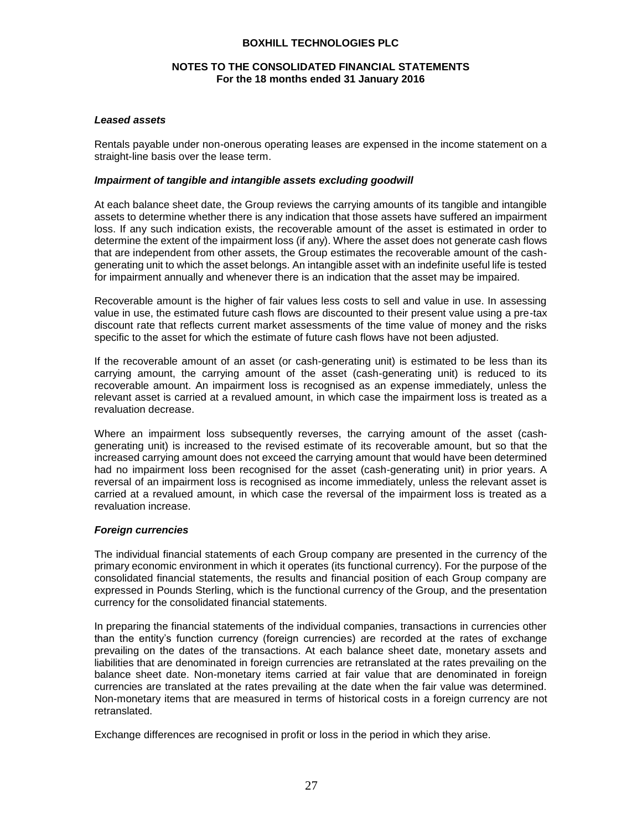## **NOTES TO THE CONSOLIDATED FINANCIAL STATEMENTS For the 18 months ended 31 January 2016**

## *Leased assets*

Rentals payable under non-onerous operating leases are expensed in the income statement on a straight-line basis over the lease term.

### *Impairment of tangible and intangible assets excluding goodwill*

At each balance sheet date, the Group reviews the carrying amounts of its tangible and intangible assets to determine whether there is any indication that those assets have suffered an impairment loss. If any such indication exists, the recoverable amount of the asset is estimated in order to determine the extent of the impairment loss (if any). Where the asset does not generate cash flows that are independent from other assets, the Group estimates the recoverable amount of the cashgenerating unit to which the asset belongs. An intangible asset with an indefinite useful life is tested for impairment annually and whenever there is an indication that the asset may be impaired.

Recoverable amount is the higher of fair values less costs to sell and value in use. In assessing value in use, the estimated future cash flows are discounted to their present value using a pre-tax discount rate that reflects current market assessments of the time value of money and the risks specific to the asset for which the estimate of future cash flows have not been adjusted.

If the recoverable amount of an asset (or cash-generating unit) is estimated to be less than its carrying amount, the carrying amount of the asset (cash-generating unit) is reduced to its recoverable amount. An impairment loss is recognised as an expense immediately, unless the relevant asset is carried at a revalued amount, in which case the impairment loss is treated as a revaluation decrease.

Where an impairment loss subsequently reverses, the carrying amount of the asset (cashgenerating unit) is increased to the revised estimate of its recoverable amount, but so that the increased carrying amount does not exceed the carrying amount that would have been determined had no impairment loss been recognised for the asset (cash-generating unit) in prior years. A reversal of an impairment loss is recognised as income immediately, unless the relevant asset is carried at a revalued amount, in which case the reversal of the impairment loss is treated as a revaluation increase.

## *Foreign currencies*

The individual financial statements of each Group company are presented in the currency of the primary economic environment in which it operates (its functional currency). For the purpose of the consolidated financial statements, the results and financial position of each Group company are expressed in Pounds Sterling, which is the functional currency of the Group, and the presentation currency for the consolidated financial statements.

In preparing the financial statements of the individual companies, transactions in currencies other than the entity's function currency (foreign currencies) are recorded at the rates of exchange prevailing on the dates of the transactions. At each balance sheet date, monetary assets and liabilities that are denominated in foreign currencies are retranslated at the rates prevailing on the balance sheet date. Non-monetary items carried at fair value that are denominated in foreign currencies are translated at the rates prevailing at the date when the fair value was determined. Non-monetary items that are measured in terms of historical costs in a foreign currency are not retranslated.

Exchange differences are recognised in profit or loss in the period in which they arise.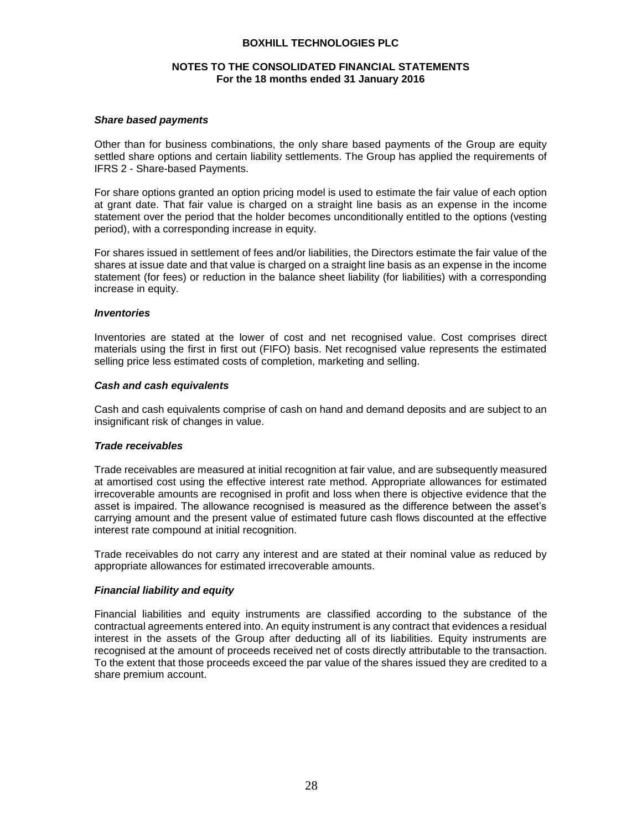## **NOTES TO THE CONSOLIDATED FINANCIAL STATEMENTS For the 18 months ended 31 January 2016**

### *Share based payments*

Other than for business combinations, the only share based payments of the Group are equity settled share options and certain liability settlements. The Group has applied the requirements of IFRS 2 - Share-based Payments.

For share options granted an option pricing model is used to estimate the fair value of each option at grant date. That fair value is charged on a straight line basis as an expense in the income statement over the period that the holder becomes unconditionally entitled to the options (vesting period), with a corresponding increase in equity.

For shares issued in settlement of fees and/or liabilities, the Directors estimate the fair value of the shares at issue date and that value is charged on a straight line basis as an expense in the income statement (for fees) or reduction in the balance sheet liability (for liabilities) with a corresponding increase in equity.

### *Inventories*

Inventories are stated at the lower of cost and net recognised value. Cost comprises direct materials using the first in first out (FIFO) basis. Net recognised value represents the estimated selling price less estimated costs of completion, marketing and selling.

### *Cash and cash equivalents*

Cash and cash equivalents comprise of cash on hand and demand deposits and are subject to an insignificant risk of changes in value.

## *Trade receivables*

Trade receivables are measured at initial recognition at fair value, and are subsequently measured at amortised cost using the effective interest rate method. Appropriate allowances for estimated irrecoverable amounts are recognised in profit and loss when there is objective evidence that the asset is impaired. The allowance recognised is measured as the difference between the asset's carrying amount and the present value of estimated future cash flows discounted at the effective interest rate compound at initial recognition.

Trade receivables do not carry any interest and are stated at their nominal value as reduced by appropriate allowances for estimated irrecoverable amounts.

## *Financial liability and equity*

Financial liabilities and equity instruments are classified according to the substance of the contractual agreements entered into. An equity instrument is any contract that evidences a residual interest in the assets of the Group after deducting all of its liabilities. Equity instruments are recognised at the amount of proceeds received net of costs directly attributable to the transaction. To the extent that those proceeds exceed the par value of the shares issued they are credited to a share premium account.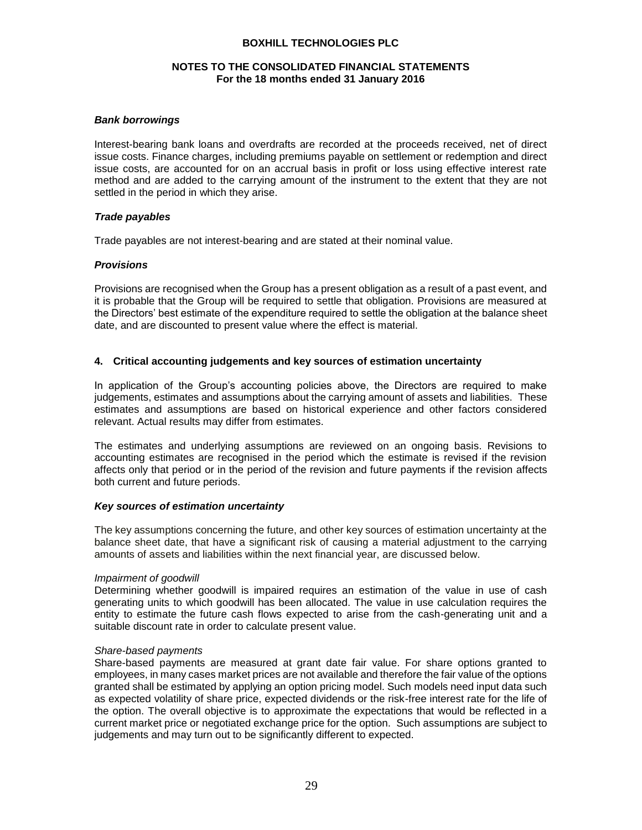## **NOTES TO THE CONSOLIDATED FINANCIAL STATEMENTS For the 18 months ended 31 January 2016**

## *Bank borrowings*

Interest-bearing bank loans and overdrafts are recorded at the proceeds received, net of direct issue costs. Finance charges, including premiums payable on settlement or redemption and direct issue costs, are accounted for on an accrual basis in profit or loss using effective interest rate method and are added to the carrying amount of the instrument to the extent that they are not settled in the period in which they arise.

### *Trade payables*

Trade payables are not interest-bearing and are stated at their nominal value.

### *Provisions*

Provisions are recognised when the Group has a present obligation as a result of a past event, and it is probable that the Group will be required to settle that obligation. Provisions are measured at the Directors' best estimate of the expenditure required to settle the obligation at the balance sheet date, and are discounted to present value where the effect is material.

## **4. Critical accounting judgements and key sources of estimation uncertainty**

In application of the Group's accounting policies above, the Directors are required to make judgements, estimates and assumptions about the carrying amount of assets and liabilities. These estimates and assumptions are based on historical experience and other factors considered relevant. Actual results may differ from estimates.

The estimates and underlying assumptions are reviewed on an ongoing basis. Revisions to accounting estimates are recognised in the period which the estimate is revised if the revision affects only that period or in the period of the revision and future payments if the revision affects both current and future periods.

#### *Key sources of estimation uncertainty*

The key assumptions concerning the future, and other key sources of estimation uncertainty at the balance sheet date, that have a significant risk of causing a material adjustment to the carrying amounts of assets and liabilities within the next financial year, are discussed below.

#### *Impairment of goodwill*

Determining whether goodwill is impaired requires an estimation of the value in use of cash generating units to which goodwill has been allocated. The value in use calculation requires the entity to estimate the future cash flows expected to arise from the cash-generating unit and a suitable discount rate in order to calculate present value.

### *Share-based payments*

Share-based payments are measured at grant date fair value. For share options granted to employees, in many cases market prices are not available and therefore the fair value of the options granted shall be estimated by applying an option pricing model. Such models need input data such as expected volatility of share price, expected dividends or the risk-free interest rate for the life of the option. The overall objective is to approximate the expectations that would be reflected in a current market price or negotiated exchange price for the option. Such assumptions are subject to judgements and may turn out to be significantly different to expected.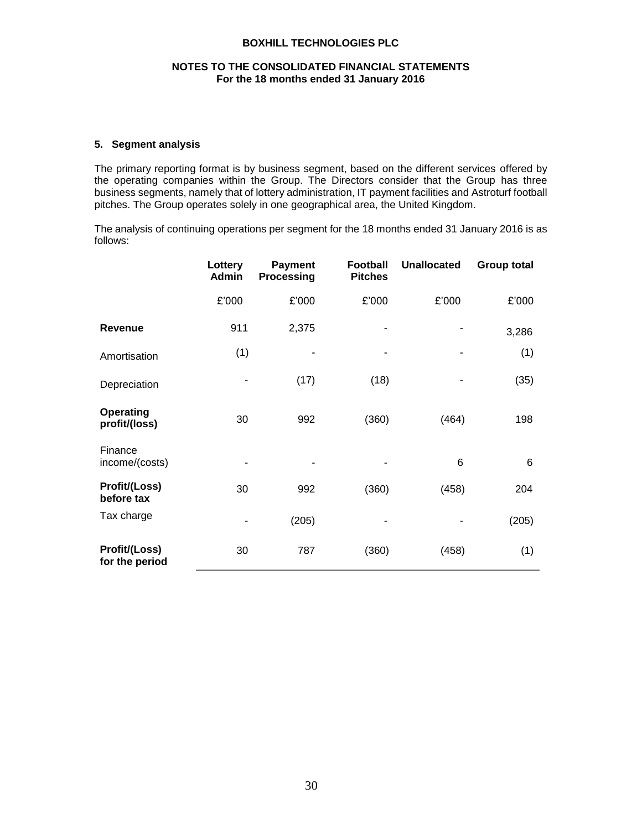## **NOTES TO THE CONSOLIDATED FINANCIAL STATEMENTS For the 18 months ended 31 January 2016**

## **5. Segment analysis**

The primary reporting format is by business segment, based on the different services offered by the operating companies within the Group. The Directors consider that the Group has three business segments, namely that of lottery administration, IT payment facilities and Astroturf football pitches. The Group operates solely in one geographical area, the United Kingdom.

The analysis of continuing operations per segment for the 18 months ended 31 January 2016 is as follows:

|                                   | Lottery<br>Admin | <b>Payment</b><br><b>Processing</b> | <b>Football</b><br><b>Pitches</b> | <b>Unallocated</b> | <b>Group total</b> |
|-----------------------------------|------------------|-------------------------------------|-----------------------------------|--------------------|--------------------|
|                                   | £'000            | £'000                               | £'000                             | £'000              | £'000              |
| Revenue                           | 911              | 2,375                               |                                   |                    | 3,286              |
| Amortisation                      | (1)              | ٠                                   |                                   |                    | (1)                |
| Depreciation                      |                  | (17)                                | (18)                              |                    | (35)               |
| <b>Operating</b><br>profit/(loss) | 30               | 992                                 | (360)                             | (464)              | 198                |
| Finance<br>income/(costs)         |                  |                                     |                                   | 6                  | 6                  |
| Profit/(Loss)<br>before tax       | 30               | 992                                 | (360)                             | (458)              | 204                |
| Tax charge                        | ٠                | (205)                               |                                   |                    | (205)              |
| Profit/(Loss)<br>for the period   | 30               | 787                                 | (360)                             | (458)              | (1)                |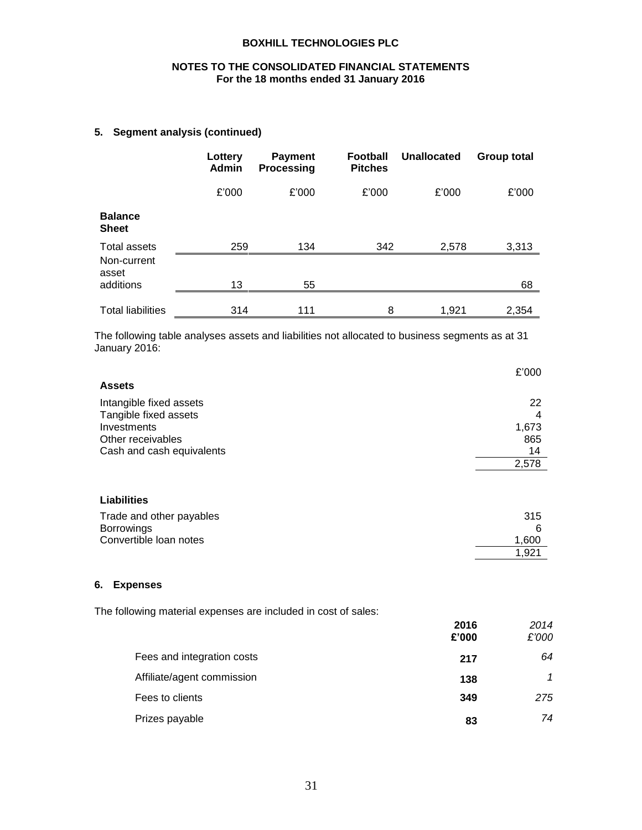## **NOTES TO THE CONSOLIDATED FINANCIAL STATEMENTS For the 18 months ended 31 January 2016**

## **5. Segment analysis (continued)**

|                                   | Lottery<br>Admin | <b>Payment</b><br><b>Processing</b> | <b>Football</b><br><b>Pitches</b> | <b>Unallocated</b> | <b>Group total</b> |
|-----------------------------------|------------------|-------------------------------------|-----------------------------------|--------------------|--------------------|
|                                   | £'000            | £'000                               | £'000                             | £'000              | £'000              |
| <b>Balance</b><br><b>Sheet</b>    |                  |                                     |                                   |                    |                    |
| Total assets                      | 259              | 134                                 | 342                               | 2,578              | 3,313              |
| Non-current<br>asset<br>additions | 13               | 55                                  |                                   |                    | 68                 |
| <b>Total liabilities</b>          | 314              | 111                                 | 8                                 | 1,921              | 2,354              |

The following table analyses assets and liabilities not allocated to business segments as at 31 January 2016:

|                           | £'000 |
|---------------------------|-------|
| <b>Assets</b>             |       |
| Intangible fixed assets   | 22    |
| Tangible fixed assets     | 4     |
| Investments               | 1,673 |
| Other receivables         | 865   |
| Cash and cash equivalents | 14    |
|                           | 2,578 |
|                           |       |

# **Liabilities**

| Trade and other payables | 315   |
|--------------------------|-------|
| Borrowings               |       |
| Convertible loan notes   | 1,600 |
|                          | 1.921 |

## **6. Expenses**

The following material expenses are included in cost of sales:

|                            | 2016<br>£'000 | 2014<br>£'000 |
|----------------------------|---------------|---------------|
| Fees and integration costs | 217           | 64            |
| Affiliate/agent commission | 138           | 1             |
| Fees to clients            | 349           | 275           |
| Prizes payable             | 83            | 74            |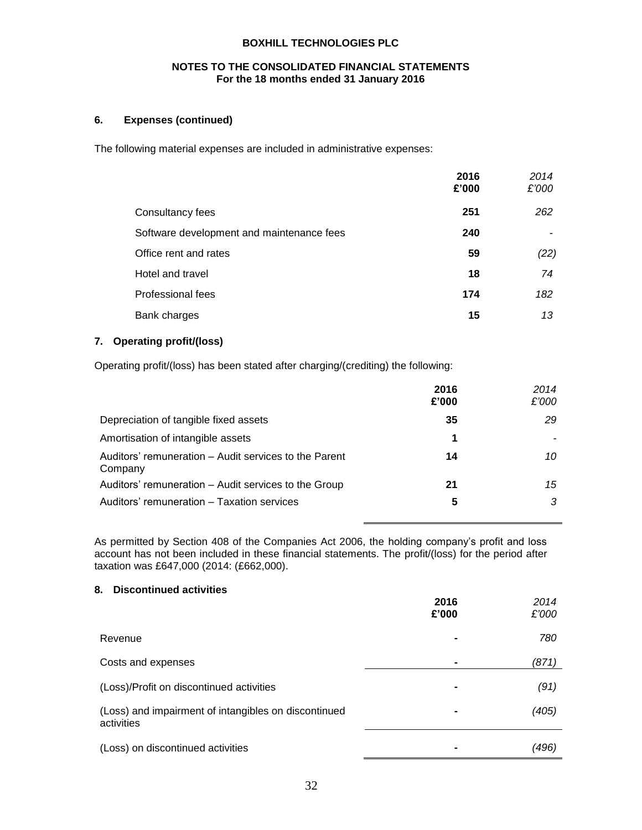## **NOTES TO THE CONSOLIDATED FINANCIAL STATEMENTS For the 18 months ended 31 January 2016**

## **6. Expenses (continued)**

The following material expenses are included in administrative expenses:

|                                           | 2016<br>£'000 | 2014<br>£'000 |
|-------------------------------------------|---------------|---------------|
| Consultancy fees                          | 251           | 262           |
| Software development and maintenance fees | 240           |               |
| Office rent and rates                     | 59            | (22)          |
| Hotel and travel                          | 18            | 74            |
| Professional fees                         | 174           | 182           |
| Bank charges                              | 15            | 13            |

# **7. Operating profit/(loss)**

Operating profit/(loss) has been stated after charging/(crediting) the following:

|                                                                  | 2016<br>£'000 | 2014<br>£'000 |
|------------------------------------------------------------------|---------------|---------------|
| Depreciation of tangible fixed assets                            | 35            | 29            |
| Amortisation of intangible assets                                | 1             |               |
| Auditors' remuneration – Audit services to the Parent<br>Company | 14            | 10            |
| Auditors' remuneration – Audit services to the Group             | 21            | 15            |
| Auditors' remuneration – Taxation services                       | 5             | 3             |

As permitted by Section 408 of the Companies Act 2006, the holding company's profit and loss account has not been included in these financial statements. The profit/(loss) for the period after taxation was £647,000 (2014: (£662,000).

## **8. Discontinued activities**

|                                                                    | 2016<br>£'000 | 2014<br>£'000 |
|--------------------------------------------------------------------|---------------|---------------|
| Revenue                                                            |               | 780           |
| Costs and expenses                                                 |               | (871)         |
| (Loss)/Profit on discontinued activities                           | ۰             | (91)          |
| (Loss) and impairment of intangibles on discontinued<br>activities |               | (405)         |
| (Loss) on discontinued activities                                  |               | (496)         |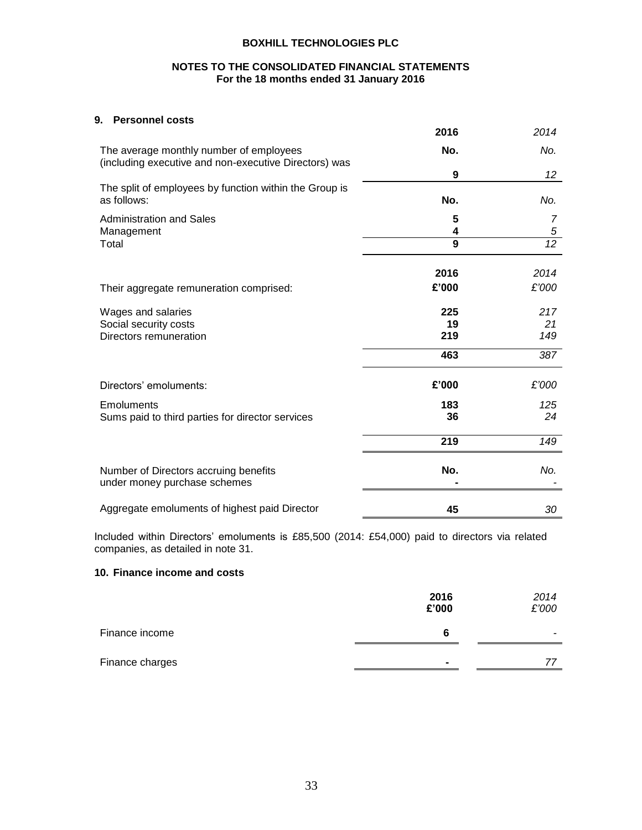## **NOTES TO THE CONSOLIDATED FINANCIAL STATEMENTS For the 18 months ended 31 January 2016**

## **9. Personnel costs**

|                                                                       | 2016   | 2014                 |
|-----------------------------------------------------------------------|--------|----------------------|
| The average monthly number of employees                               | No.    | No.                  |
| (including executive and non-executive Directors) was                 | 9      | 12 <sup>°</sup>      |
| The split of employees by function within the Group is<br>as follows: | No.    | No.                  |
| <b>Administration and Sales</b>                                       | 5      | 7                    |
| Management<br>Total                                                   | 4<br>9 | 5<br>$\overline{12}$ |
|                                                                       |        |                      |
|                                                                       | 2016   | 2014                 |
| Their aggregate remuneration comprised:                               | £'000  | £'000                |
| Wages and salaries                                                    | 225    | 217                  |
| Social security costs                                                 | 19     | 21                   |
| Directors remuneration                                                | 219    | 149                  |
|                                                                       | 463    | 387                  |
| Directors' emoluments:                                                | £'000  | £'000                |
| Emoluments                                                            | 183    | 125                  |
| Sums paid to third parties for director services                      | 36     | 24                   |
|                                                                       | 219    | 149                  |
| Number of Directors accruing benefits<br>under money purchase schemes | No.    | No.                  |
| Aggregate emoluments of highest paid Director                         | 45     | 30                   |

Included within Directors' emoluments is £85,500 (2014: £54,000) paid to directors via related companies, as detailed in note 31.

# **10. Finance income and costs**

|                 | 2016<br>£'000  | 2014<br>£'000 |
|-----------------|----------------|---------------|
| Finance income  | 6              | -             |
| Finance charges | $\blacksquare$ | 77            |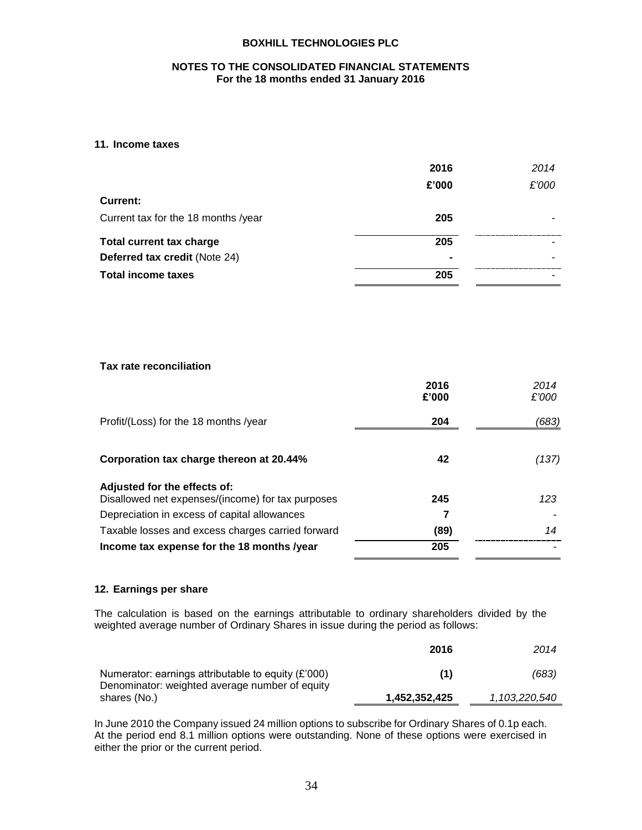## **NOTES TO THE CONSOLIDATED FINANCIAL STATEMENTS For the 18 months ended 31 January 2016**

## **11. Income taxes**

|                                     | 2016           | 2014  |
|-------------------------------------|----------------|-------|
|                                     | £'000          | £'000 |
| <b>Current:</b>                     |                |       |
| Current tax for the 18 months /year | 205            |       |
| <b>Total current tax charge</b>     | 205            |       |
| Deferred tax credit (Note 24)       | $\blacksquare$ |       |
| Total income taxes                  | 205            | -     |

## **Tax rate reconciliation**

|                                                                                   | 2016<br>£'000 | 2014<br>£'000 |
|-----------------------------------------------------------------------------------|---------------|---------------|
| Profit/(Loss) for the 18 months /year                                             | 204           | (683)         |
| Corporation tax charge thereon at 20.44%                                          | 42            | (137)         |
| Adjusted for the effects of:<br>Disallowed net expenses/(income) for tax purposes | 245           | 123           |
| Depreciation in excess of capital allowances                                      | 7             |               |
| Taxable losses and excess charges carried forward                                 | (89)          | 14            |
| Income tax expense for the 18 months /year                                        | 205           |               |

## **12. Earnings per share**

The calculation is based on the earnings attributable to ordinary shareholders divided by the weighted average number of Ordinary Shares in issue during the period as follows:

|                                                                                                        | 2016          | 2014          |
|--------------------------------------------------------------------------------------------------------|---------------|---------------|
| Numerator: earnings attributable to equity $(E'000)$<br>Denominator: weighted average number of equity | (1)           | (683)         |
| shares (No.)                                                                                           | 1,452,352,425 | 1,103,220,540 |

In June 2010 the Company issued 24 million options to subscribe for Ordinary Shares of 0.1p each. At the period end 8.1 million options were outstanding. None of these options were exercised in either the prior or the current period.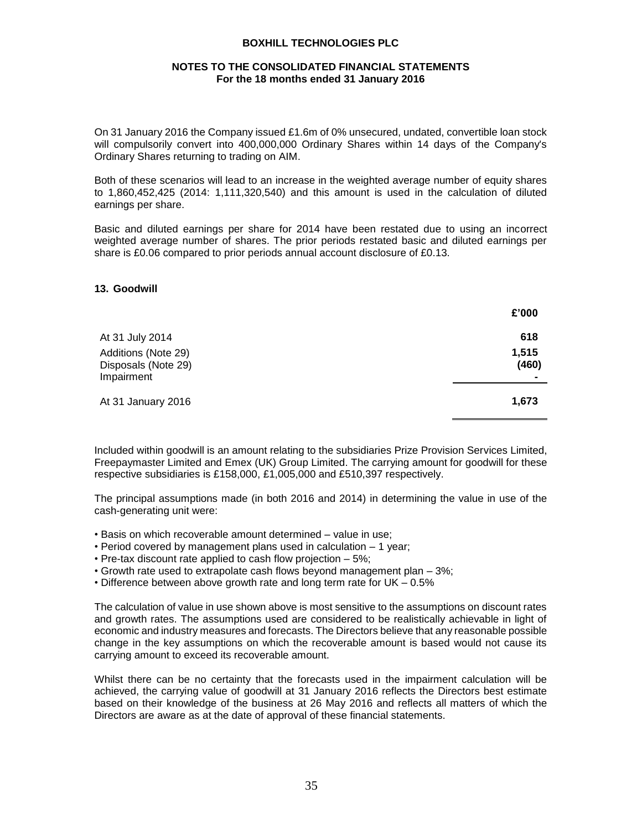### **NOTES TO THE CONSOLIDATED FINANCIAL STATEMENTS For the 18 months ended 31 January 2016**

On 31 January 2016 the Company issued £1.6m of 0% unsecured, undated, convertible loan stock will compulsorily convert into 400,000,000 Ordinary Shares within 14 days of the Company's Ordinary Shares returning to trading on AIM.

Both of these scenarios will lead to an increase in the weighted average number of equity shares to 1,860,452,425 (2014: 1,111,320,540) and this amount is used in the calculation of diluted earnings per share.

Basic and diluted earnings per share for 2014 have been restated due to using an incorrect weighted average number of shares. The prior periods restated basic and diluted earnings per share is £0.06 compared to prior periods annual account disclosure of £0.13.

## **13. Goodwill**

|                                                          | £'000          |
|----------------------------------------------------------|----------------|
| At 31 July 2014                                          | 618            |
| Additions (Note 29)<br>Disposals (Note 29)<br>Impairment | 1,515<br>(460) |
| At 31 January 2016                                       | 1,673          |

Included within goodwill is an amount relating to the subsidiaries Prize Provision Services Limited, Freepaymaster Limited and Emex (UK) Group Limited. The carrying amount for goodwill for these respective subsidiaries is £158,000, £1,005,000 and £510,397 respectively.

The principal assumptions made (in both 2016 and 2014) in determining the value in use of the cash-generating unit were:

- Basis on which recoverable amount determined value in use;
- Period covered by management plans used in calculation 1 year;
- Pre-tax discount rate applied to cash flow projection 5%;
- Growth rate used to extrapolate cash flows beyond management plan 3%;
- Difference between above growth rate and long term rate for UK 0.5%

The calculation of value in use shown above is most sensitive to the assumptions on discount rates and growth rates. The assumptions used are considered to be realistically achievable in light of economic and industry measures and forecasts. The Directors believe that any reasonable possible change in the key assumptions on which the recoverable amount is based would not cause its carrying amount to exceed its recoverable amount.

Whilst there can be no certainty that the forecasts used in the impairment calculation will be achieved, the carrying value of goodwill at 31 January 2016 reflects the Directors best estimate based on their knowledge of the business at 26 May 2016 and reflects all matters of which the Directors are aware as at the date of approval of these financial statements.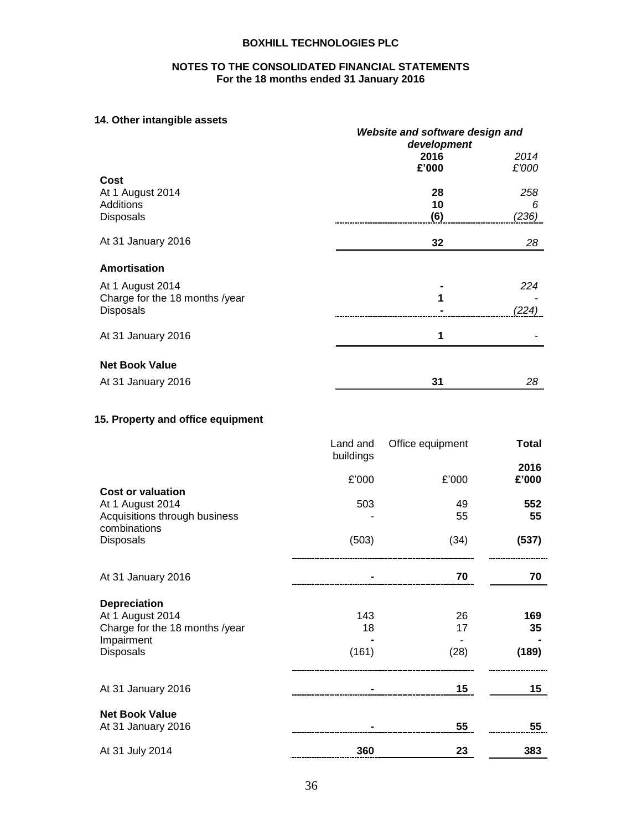# **NOTES TO THE CONSOLIDATED FINANCIAL STATEMENTS For the 18 months ended 31 January 2016**

# **14. Other intangible assets**

| 14. Uther mitangible assets       | Website and software design and<br>development |       |
|-----------------------------------|------------------------------------------------|-------|
|                                   | 2016                                           | 2014  |
|                                   | £'000                                          | £'000 |
| Cost                              |                                                |       |
| At 1 August 2014                  | 28                                             | 258   |
| Additions                         | 10                                             | 6     |
| <b>Disposals</b>                  | (6)                                            | (236) |
| At 31 January 2016                | 32                                             | 28    |
| Amortisation                      |                                                |       |
| At 1 August 2014                  |                                                | 224   |
| Charge for the 18 months /year    | 1                                              |       |
| Disposals                         |                                                | (224) |
| At 31 January 2016                | 1                                              |       |
| <b>Net Book Value</b>             |                                                |       |
| At 31 January 2016                | 31                                             | 28    |
| 15. Property and office equipment |                                                |       |

|                                                                                               | Land and<br>buildings | Office equipment | <b>Total</b>  |
|-----------------------------------------------------------------------------------------------|-----------------------|------------------|---------------|
|                                                                                               | £'000                 | £'000            | 2016<br>£'000 |
| <b>Cost or valuation</b><br>At 1 August 2014<br>Acquisitions through business<br>combinations | 503                   | 49<br>55         | 552<br>55     |
| Disposals                                                                                     | (503)                 | (34)             | (537)         |
| At 31 January 2016                                                                            |                       | 70               | 70            |
| <b>Depreciation</b><br>At 1 August 2014<br>Charge for the 18 months /year                     | 143<br>18             | 26<br>17         | 169<br>35     |
| Impairment<br><b>Disposals</b>                                                                | (161)                 | (28)             | (189)         |
| At 31 January 2016                                                                            |                       | 15               | 15            |
| <b>Net Book Value</b><br>At 31 January 2016                                                   |                       | 55               | 55            |
| At 31 July 2014                                                                               | 360                   | 23               | 383           |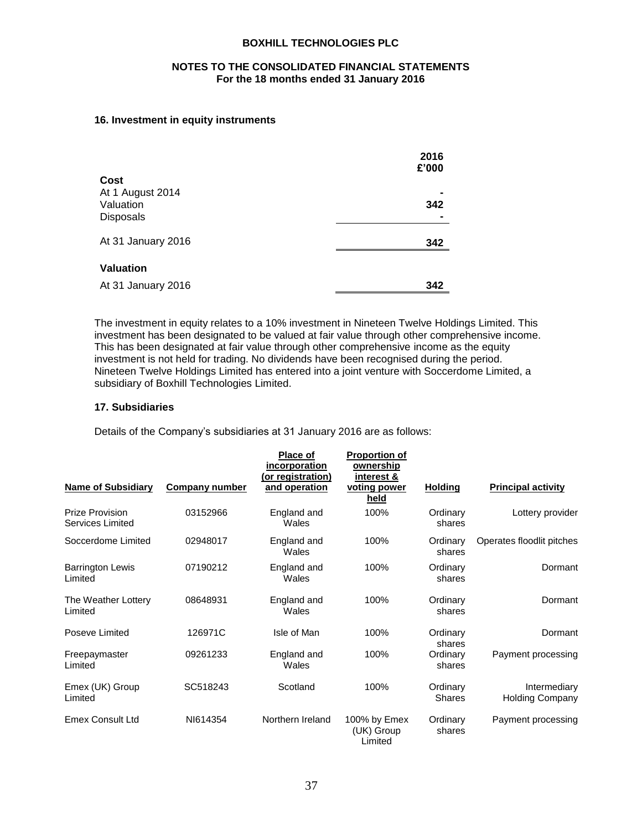## **NOTES TO THE CONSOLIDATED FINANCIAL STATEMENTS For the 18 months ended 31 January 2016**

## **16. Investment in equity instruments**

|                               | 2016<br>£'000 |
|-------------------------------|---------------|
| Cost                          |               |
| At 1 August 2014<br>Valuation | 342           |
| <b>Disposals</b>              |               |
| At 31 January 2016            | 342           |
| <b>Valuation</b>              |               |
| At 31 January 2016            | 342           |

The investment in equity relates to a 10% investment in Nineteen Twelve Holdings Limited. This investment has been designated to be valued at fair value through other comprehensive income. This has been designated at fair value through other comprehensive income as the equity investment is not held for trading. No dividends have been recognised during the period. Nineteen Twelve Holdings Limited has entered into a joint venture with Soccerdome Limited, a subsidiary of Boxhill Technologies Limited.

### **17. Subsidiaries**

Details of the Company's subsidiaries at 31 January 2016 are as follows:

| <b>Name of Subsidiary</b>                  | Company number | Place of<br>incorporation<br>(or registration)<br>and operation | <b>Proportion of</b><br>ownership<br>interest &<br>voting power | <b>Holding</b>            | <b>Principal activity</b>              |
|--------------------------------------------|----------------|-----------------------------------------------------------------|-----------------------------------------------------------------|---------------------------|----------------------------------------|
|                                            |                |                                                                 | held                                                            |                           |                                        |
| <b>Prize Provision</b><br>Services Limited | 03152966       | England and<br>Wales                                            | 100%                                                            | Ordinary<br>shares        | Lottery provider                       |
| Soccerdome Limited                         | 02948017       | England and<br>Wales                                            | 100%                                                            | Ordinary<br>shares        | Operates floodlit pitches              |
| <b>Barrington Lewis</b><br>Limited         | 07190212       | England and<br>Wales                                            | 100%                                                            | Ordinary<br>shares        | Dormant                                |
| The Weather Lottery<br>Limited             | 08648931       | England and<br>Wales                                            | 100%                                                            | Ordinary<br>shares        | Dormant                                |
| Poseve Limited                             | 126971C        | Isle of Man                                                     | 100%                                                            | Ordinary<br>shares        | Dormant                                |
| Freepaymaster<br>Limited                   | 09261233       | England and<br>Wales                                            | 100%                                                            | Ordinary<br>shares        | Payment processing                     |
| Emex (UK) Group<br>Limited                 | SC518243       | Scotland                                                        | 100%                                                            | Ordinary<br><b>Shares</b> | Intermediary<br><b>Holding Company</b> |
| <b>Emex Consult Ltd</b>                    | NI614354       | Northern Ireland                                                | 100% by Emex<br>(UK) Group<br>imited                            | Ordinary<br>shares        | Payment processing                     |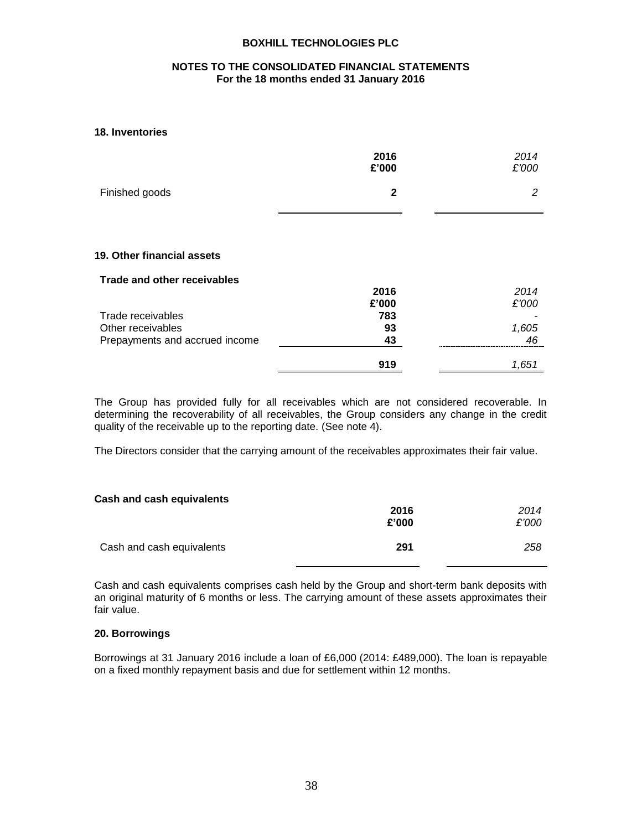## **NOTES TO THE CONSOLIDATED FINANCIAL STATEMENTS For the 18 months ended 31 January 2016**

## **18. Inventories**

|                                | 2016<br>£'000 | 2014<br>£'000 |
|--------------------------------|---------------|---------------|
| Finished goods                 | $\mathbf{2}$  | 2             |
|                                |               |               |
| 19. Other financial assets     |               |               |
| Trade and other receivables    |               |               |
|                                | 2016          | 2014          |
|                                | £'000         | £'000         |
| Trade receivables              | 783           |               |
| Other receivables              | 93            | 1,605         |
| Prepayments and accrued income | 43            | 46            |
|                                | 919           | 1,651         |

The Group has provided fully for all receivables which are not considered recoverable. In determining the recoverability of all receivables, the Group considers any change in the credit quality of the receivable up to the reporting date. (See note 4).

The Directors consider that the carrying amount of the receivables approximates their fair value.

#### **Cash and cash equivalents**

|                           | 2016<br>£'000 | 2014<br>£'000 |
|---------------------------|---------------|---------------|
| Cash and cash equivalents | 291           | 258           |

Cash and cash equivalents comprises cash held by the Group and short-term bank deposits with an original maturity of 6 months or less. The carrying amount of these assets approximates their fair value.

## **20. Borrowings**

Borrowings at 31 January 2016 include a loan of £6,000 (2014: £489,000). The loan is repayable on a fixed monthly repayment basis and due for settlement within 12 months.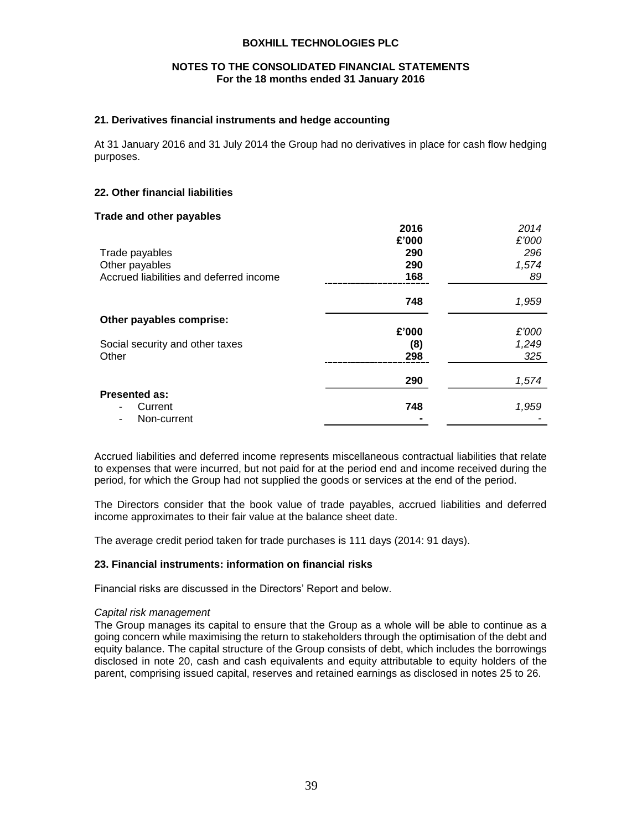## **NOTES TO THE CONSOLIDATED FINANCIAL STATEMENTS For the 18 months ended 31 January 2016**

## **21. Derivatives financial instruments and hedge accounting**

At 31 January 2016 and 31 July 2014 the Group had no derivatives in place for cash flow hedging purposes.

## **22. Other financial liabilities**

## **Trade and other payables**

|                                         | 2016  | 2014  |
|-----------------------------------------|-------|-------|
|                                         | £'000 | £'000 |
| Trade payables                          | 290   | 296   |
| Other payables                          | 290   | 1,574 |
| Accrued liabilities and deferred income | 168   | 89    |
|                                         | 748   | 1,959 |
| Other payables comprise:                |       |       |
|                                         | £'000 | £'000 |
| Social security and other taxes         | (8)   | 1,249 |
| Other                                   | 298   | 325   |
|                                         | 290   | 1,574 |
| <b>Presented as:</b>                    |       |       |
| Current                                 | 748   | 1,959 |
| Non-current<br>٠                        |       |       |

Accrued liabilities and deferred income represents miscellaneous contractual liabilities that relate to expenses that were incurred, but not paid for at the period end and income received during the period, for which the Group had not supplied the goods or services at the end of the period.

The Directors consider that the book value of trade payables, accrued liabilities and deferred income approximates to their fair value at the balance sheet date.

The average credit period taken for trade purchases is 111 days (2014: 91 days).

## **23. Financial instruments: information on financial risks**

Financial risks are discussed in the Directors' Report and below.

## *Capital risk management*

The Group manages its capital to ensure that the Group as a whole will be able to continue as a going concern while maximising the return to stakeholders through the optimisation of the debt and equity balance. The capital structure of the Group consists of debt, which includes the borrowings disclosed in note 20, cash and cash equivalents and equity attributable to equity holders of the parent, comprising issued capital, reserves and retained earnings as disclosed in notes 25 to 26.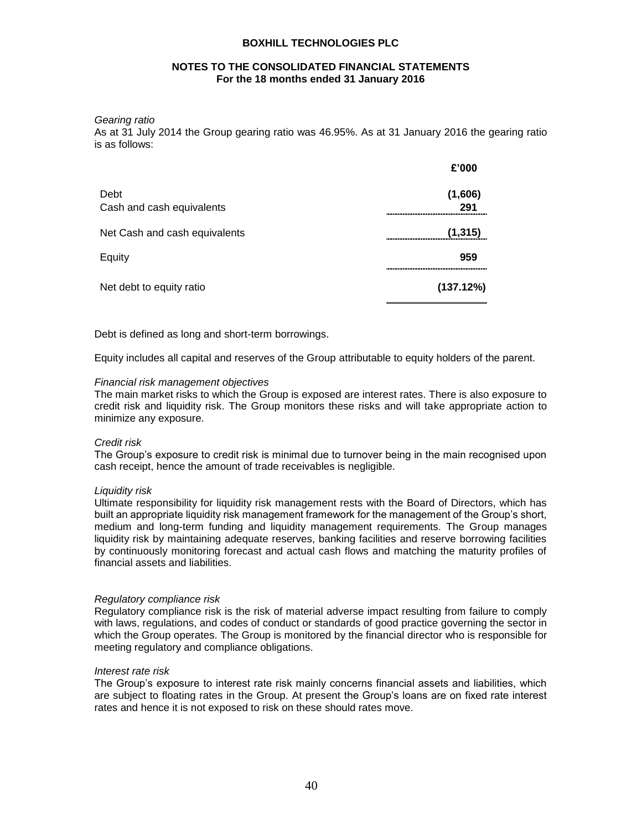## **NOTES TO THE CONSOLIDATED FINANCIAL STATEMENTS For the 18 months ended 31 January 2016**

## *Gearing ratio*

As at 31 July 2014 the Group gearing ratio was 46.95%. As at 31 January 2016 the gearing ratio is as follows:

|                                   | £'000          |
|-----------------------------------|----------------|
| Debt<br>Cash and cash equivalents | (1,606)<br>291 |
| Net Cash and cash equivalents     | (1, 315)       |
| Equity                            | 959            |
| Net debt to equity ratio          | (137.12%)      |

Debt is defined as long and short-term borrowings.

Equity includes all capital and reserves of the Group attributable to equity holders of the parent.

### *Financial risk management objectives*

The main market risks to which the Group is exposed are interest rates. There is also exposure to credit risk and liquidity risk. The Group monitors these risks and will take appropriate action to minimize any exposure.

#### *Credit risk*

The Group's exposure to credit risk is minimal due to turnover being in the main recognised upon cash receipt, hence the amount of trade receivables is negligible.

#### *Liquidity risk*

Ultimate responsibility for liquidity risk management rests with the Board of Directors, which has built an appropriate liquidity risk management framework for the management of the Group's short, medium and long-term funding and liquidity management requirements. The Group manages liquidity risk by maintaining adequate reserves, banking facilities and reserve borrowing facilities by continuously monitoring forecast and actual cash flows and matching the maturity profiles of financial assets and liabilities.

#### *Regulatory compliance risk*

Regulatory compliance risk is the risk of material adverse impact resulting from failure to comply with laws, regulations, and codes of conduct or standards of good practice governing the sector in which the Group operates. The Group is monitored by the financial director who is responsible for meeting regulatory and compliance obligations.

#### *Interest rate risk*

The Group's exposure to interest rate risk mainly concerns financial assets and liabilities, which are subject to floating rates in the Group. At present the Group's loans are on fixed rate interest rates and hence it is not exposed to risk on these should rates move.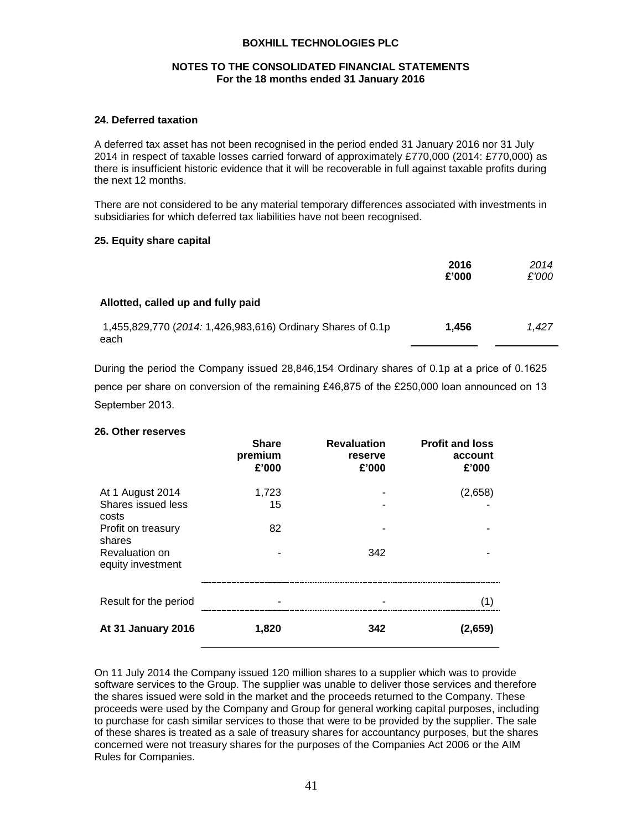## **NOTES TO THE CONSOLIDATED FINANCIAL STATEMENTS For the 18 months ended 31 January 2016**

## **24. Deferred taxation**

A deferred tax asset has not been recognised in the period ended 31 January 2016 nor 31 July 2014 in respect of taxable losses carried forward of approximately £770,000 (2014: £770,000) as there is insufficient historic evidence that it will be recoverable in full against taxable profits during the next 12 months.

There are not considered to be any material temporary differences associated with investments in subsidiaries for which deferred tax liabilities have not been recognised.

### **25. Equity share capital**

|                                                                     | 2016<br>£'000 | 2014<br>£'000 |
|---------------------------------------------------------------------|---------------|---------------|
| Allotted, called up and fully paid                                  |               |               |
| 1,455,829,770 (2014: 1,426,983,616) Ordinary Shares of 0.1p<br>each | 1.456         | 1.427         |

During the period the Company issued 28,846,154 Ordinary shares of 0.1p at a price of 0.1625 pence per share on conversion of the remaining £46,875 of the £250,000 loan announced on 13 September 2013.

### **26. Other reserves**

|                                     | <b>Share</b><br>premium<br>£'000 | <b>Revaluation</b><br>reserve<br>£'000 | <b>Profit and loss</b><br>account<br>£'000 |
|-------------------------------------|----------------------------------|----------------------------------------|--------------------------------------------|
| At 1 August 2014                    | 1,723                            |                                        | (2,658)                                    |
| Shares issued less<br>costs         | 15                               |                                        |                                            |
| Profit on treasury<br>shares        | 82                               |                                        |                                            |
| Revaluation on<br>equity investment |                                  | 342                                    |                                            |
| Result for the period               |                                  |                                        |                                            |
| At 31 January 2016                  | 1,820                            | 342                                    | (2,659)                                    |

On 11 July 2014 the Company issued 120 million shares to a supplier which was to provide software services to the Group. The supplier was unable to deliver those services and therefore the shares issued were sold in the market and the proceeds returned to the Company. These proceeds were used by the Company and Group for general working capital purposes, including to purchase for cash similar services to those that were to be provided by the supplier. The sale of these shares is treated as a sale of treasury shares for accountancy purposes, but the shares concerned were not treasury shares for the purposes of the Companies Act 2006 or the AIM Rules for Companies.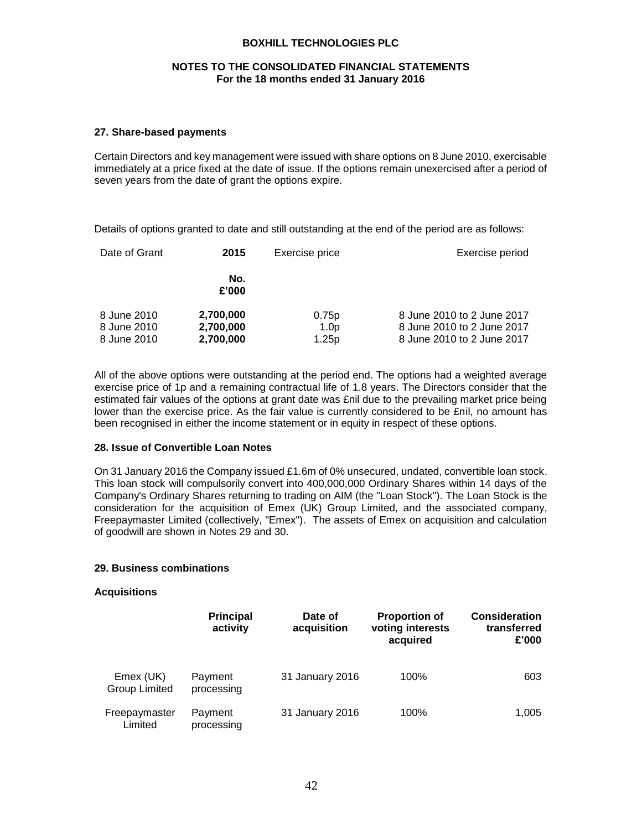## **NOTES TO THE CONSOLIDATED FINANCIAL STATEMENTS For the 18 months ended 31 January 2016**

## **27. Share-based payments**

Certain Directors and key management were issued with share options on 8 June 2010, exercisable immediately at a price fixed at the date of issue. If the options remain unexercised after a period of seven years from the date of grant the options expire.

Details of options granted to date and still outstanding at the end of the period are as follows:

| Date of Grant                             | 2015                                | Exercise price                     | Exercise period                                                                        |
|-------------------------------------------|-------------------------------------|------------------------------------|----------------------------------------------------------------------------------------|
|                                           | No.<br>£'000                        |                                    |                                                                                        |
| 8 June 2010<br>8 June 2010<br>8 June 2010 | 2,700,000<br>2,700,000<br>2,700,000 | 0.75p<br>1.0 <sub>p</sub><br>1.25p | 8 June 2010 to 2 June 2017<br>8 June 2010 to 2 June 2017<br>8 June 2010 to 2 June 2017 |

All of the above options were outstanding at the period end. The options had a weighted average exercise price of 1p and a remaining contractual life of 1.8 years. The Directors consider that the estimated fair values of the options at grant date was £nil due to the prevailing market price being lower than the exercise price. As the fair value is currently considered to be £nil, no amount has been recognised in either the income statement or in equity in respect of these options.

#### **28. Issue of Convertible Loan Notes**

On 31 January 2016 the Company issued £1.6m of 0% unsecured, undated, convertible loan stock. This loan stock will compulsorily convert into 400,000,000 Ordinary Shares within 14 days of the Company's Ordinary Shares returning to trading on AIM (the "Loan Stock"). The Loan Stock is the consideration for the acquisition of Emex (UK) Group Limited, and the associated company, Freepaymaster Limited (collectively, "Emex"). The assets of Emex on acquisition and calculation of goodwill are shown in Notes 29 and 30.

## **29. Business combinations**

#### **Acquisitions**

|                                   | <b>Principal</b><br>activity | Date of<br>acquisition | <b>Proportion of</b><br>voting interests<br>acquired | <b>Consideration</b><br>transferred<br>£'000 |
|-----------------------------------|------------------------------|------------------------|------------------------------------------------------|----------------------------------------------|
| Emex (UK)<br><b>Group Limited</b> | Payment<br>processing        | 31 January 2016        | 100%                                                 | 603                                          |
| Freepaymaster<br>Limited          | Payment<br>processing        | 31 January 2016        | 100%                                                 | 1,005                                        |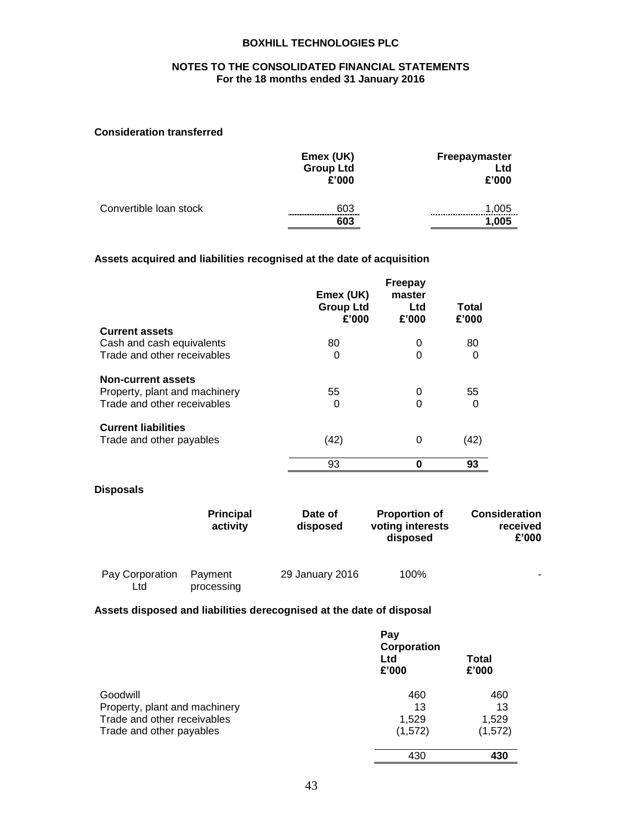## **NOTES TO THE CONSOLIDATED FINANCIAL STATEMENTS For the 18 months ended 31 January 2016**

# **Consideration transferred**

|                        | Emex (UK)<br><b>Group Ltd</b><br>£'000 | Freepaymaster<br>Ltd<br>£'000 |
|------------------------|----------------------------------------|-------------------------------|
| Convertible loan stock | 603                                    | 1,005                         |
|                        | 603                                    | 1,005                         |

## **Assets acquired and liabilities recognised at the date of acquisition**

|                               | Emex (UK)<br><b>Group Ltd</b><br>£'000 | Freepay<br>master<br>Ltd<br>£'000 | Total<br>£'000 |
|-------------------------------|----------------------------------------|-----------------------------------|----------------|
| <b>Current assets</b>         |                                        |                                   |                |
| Cash and cash equivalents     | 80                                     | 0                                 | 80             |
| Trade and other receivables   | 0                                      |                                   | 0              |
| Non-current assets            |                                        |                                   |                |
| Property, plant and machinery | 55                                     | 0                                 | 55             |
| Trade and other receivables   | 0                                      | ∩                                 |                |
| <b>Current liabilities</b>    |                                        |                                   |                |
| Trade and other payables      | (42)                                   | 0                                 | (42)           |
|                               | 93                                     |                                   | 93             |

# **Disposals**

|                        | <b>Principal</b><br>activity | Date of<br>disposed | <b>Proportion of</b><br>voting interests<br>disposed | <b>Consideration</b><br>received<br>£'000 |
|------------------------|------------------------------|---------------------|------------------------------------------------------|-------------------------------------------|
| Pay Corporation<br>Ltd | Payment<br>processing        | 29 January 2016     | 100%                                                 |                                           |

## **Assets disposed and liabilities derecognised at the date of disposal**

|                               | Pay<br>Corporation<br>Ltd<br>£'000 | Total<br>£'000 |
|-------------------------------|------------------------------------|----------------|
| Goodwill                      | 460                                | 460            |
| Property, plant and machinery | 13                                 | 13             |
| Trade and other receivables   | 1,529                              | 1,529          |
| Trade and other payables      | (1,572)                            | (1, 572)       |
|                               | 430                                | 430            |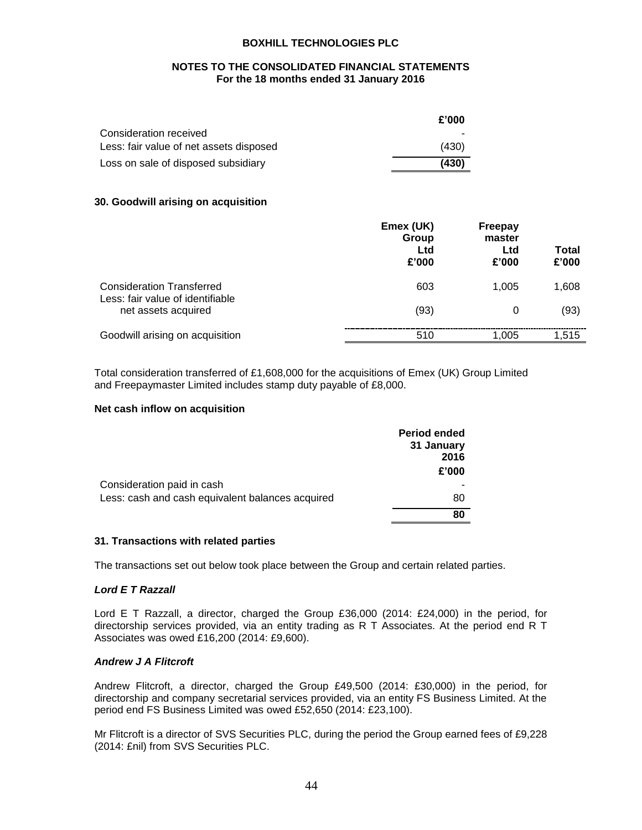### **NOTES TO THE CONSOLIDATED FINANCIAL STATEMENTS For the 18 months ended 31 January 2016**

|                                         | £'000 |
|-----------------------------------------|-------|
| Consideration received                  |       |
| Less: fair value of net assets disposed | (430) |
| Loss on sale of disposed subsidiary     | (430) |

## **30. Goodwill arising on acquisition**

|                                                                      | Emex (UK)<br>Group<br>Ltd<br>£'000 | <b>Freepay</b><br>master<br>Ltd<br>£'000 | Total<br>£'000 |
|----------------------------------------------------------------------|------------------------------------|------------------------------------------|----------------|
| <b>Consideration Transferred</b><br>Less: fair value of identifiable | 603                                | 1.005                                    | 1,608          |
| net assets acquired                                                  | (93)                               | 0                                        | (93)           |
| Goodwill arising on acquisition                                      | 510                                | 1.005                                    | 1.515          |

Total consideration transferred of £1,608,000 for the acquisitions of Emex (UK) Group Limited and Freepaymaster Limited includes stamp duty payable of £8,000.

#### **Net cash inflow on acquisition**

|                                                  | <b>Period ended</b><br>31 January<br>2016<br>£'000 |
|--------------------------------------------------|----------------------------------------------------|
| Consideration paid in cash                       |                                                    |
| Less: cash and cash equivalent balances acquired | 80                                                 |
|                                                  | 80                                                 |

### **31. Transactions with related parties**

The transactions set out below took place between the Group and certain related parties.

#### *Lord E T Razzall*

Lord E T Razzall, a director, charged the Group £36,000 (2014: £24,000) in the period, for directorship services provided, via an entity trading as R T Associates. At the period end R T Associates was owed £16,200 (2014: £9,600).

### *Andrew J A Flitcroft*

Andrew Flitcroft, a director, charged the Group £49,500 (2014: £30,000) in the period, for directorship and company secretarial services provided, via an entity FS Business Limited. At the period end FS Business Limited was owed £52,650 (2014: £23,100).

Mr Flitcroft is a director of SVS Securities PLC, during the period the Group earned fees of £9,228 (2014: £nil) from SVS Securities PLC.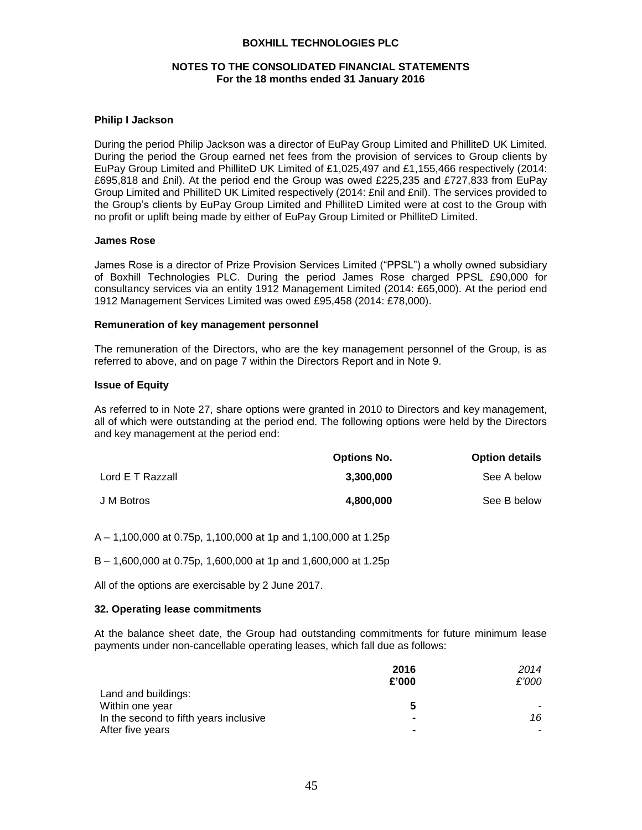## **NOTES TO THE CONSOLIDATED FINANCIAL STATEMENTS For the 18 months ended 31 January 2016**

## **Philip I Jackson**

During the period Philip Jackson was a director of EuPay Group Limited and PhilliteD UK Limited. During the period the Group earned net fees from the provision of services to Group clients by EuPay Group Limited and PhilliteD UK Limited of £1,025,497 and £1,155,466 respectively (2014: £695,818 and £nil). At the period end the Group was owed £225,235 and £727,833 from EuPay Group Limited and PhilliteD UK Limited respectively (2014: £nil and £nil). The services provided to the Group's clients by EuPay Group Limited and PhilliteD Limited were at cost to the Group with no profit or uplift being made by either of EuPay Group Limited or PhilliteD Limited.

#### **James Rose**

James Rose is a director of Prize Provision Services Limited ("PPSL") a wholly owned subsidiary of Boxhill Technologies PLC. During the period James Rose charged PPSL £90,000 for consultancy services via an entity 1912 Management Limited (2014: £65,000). At the period end 1912 Management Services Limited was owed £95,458 (2014: £78,000).

### **Remuneration of key management personnel**

The remuneration of the Directors, who are the key management personnel of the Group, is as referred to above, and on page 7 within the Directors Report and in Note 9.

### **Issue of Equity**

As referred to in Note 27, share options were granted in 2010 to Directors and key management, all of which were outstanding at the period end. The following options were held by the Directors and key management at the period end:

|                  | <b>Options No.</b> | <b>Option details</b> |
|------------------|--------------------|-----------------------|
| Lord E T Razzall | 3.300.000          | See A below           |
| J M Botros       | 4,800,000          | See B below           |

A – 1,100,000 at 0.75p, 1,100,000 at 1p and 1,100,000 at 1.25p

B – 1,600,000 at 0.75p, 1,600,000 at 1p and 1,600,000 at 1.25p

All of the options are exercisable by 2 June 2017.

#### **32. Operating lease commitments**

At the balance sheet date, the Group had outstanding commitments for future minimum lease payments under non-cancellable operating leases, which fall due as follows:

|                                        | 2016  | 2014  |
|----------------------------------------|-------|-------|
|                                        | £'000 | £'000 |
| Land and buildings:                    |       |       |
| Within one year                        | 5     |       |
| In the second to fifth years inclusive |       | 16    |
| After five years                       | -     |       |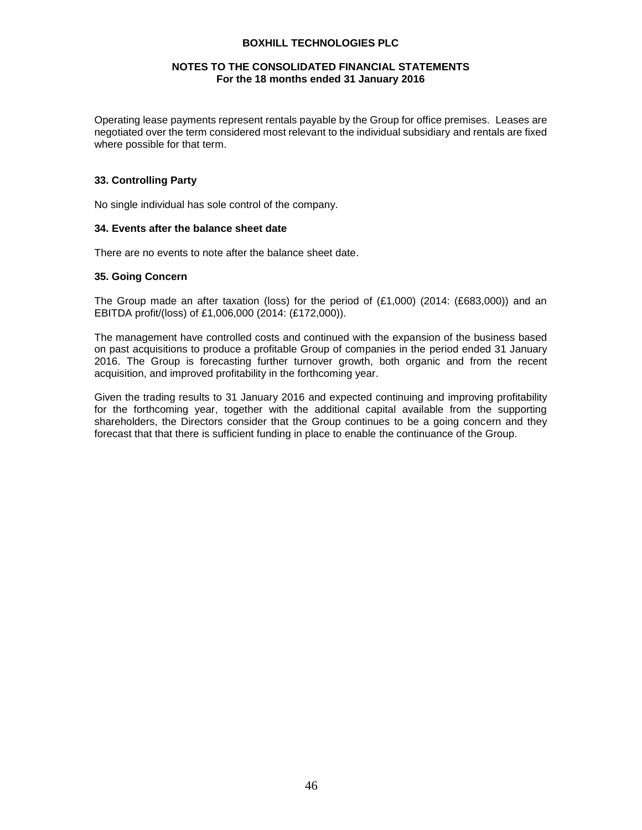## **NOTES TO THE CONSOLIDATED FINANCIAL STATEMENTS For the 18 months ended 31 January 2016**

Operating lease payments represent rentals payable by the Group for office premises. Leases are negotiated over the term considered most relevant to the individual subsidiary and rentals are fixed where possible for that term.

## **33. Controlling Party**

No single individual has sole control of the company.

### **34. Events after the balance sheet date**

There are no events to note after the balance sheet date.

## **35. Going Concern**

The Group made an after taxation (loss) for the period of  $(E1,000)$  (2014:  $(E683,000)$ ) and an EBITDA profit/(loss) of £1,006,000 (2014: (£172,000)).

The management have controlled costs and continued with the expansion of the business based on past acquisitions to produce a profitable Group of companies in the period ended 31 January 2016. The Group is forecasting further turnover growth, both organic and from the recent acquisition, and improved profitability in the forthcoming year.

Given the trading results to 31 January 2016 and expected continuing and improving profitability for the forthcoming year, together with the additional capital available from the supporting shareholders, the Directors consider that the Group continues to be a going concern and they forecast that that there is sufficient funding in place to enable the continuance of the Group.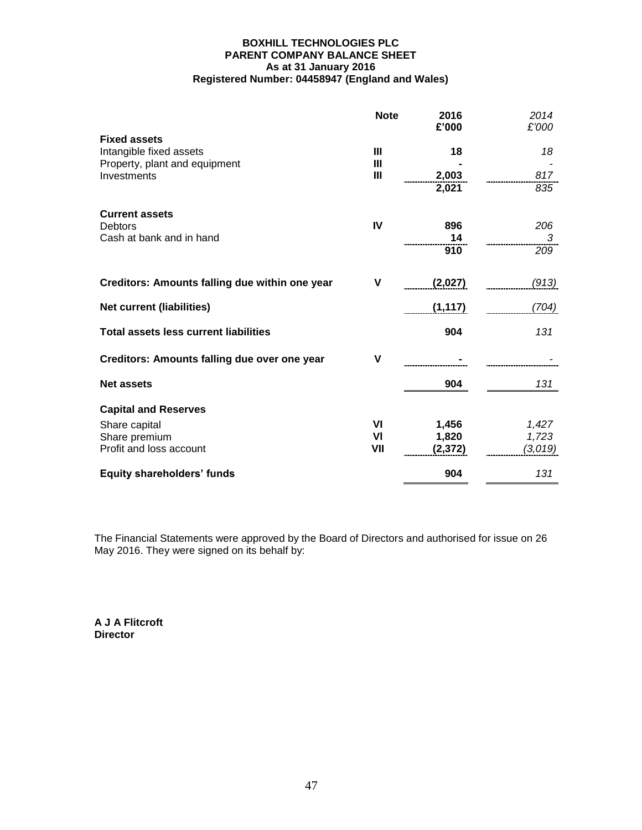## **BOXHILL TECHNOLOGIES PLC PARENT COMPANY BALANCE SHEET As at 31 January 2016 Registered Number: 04458947 (England and Wales)**

|                                                | <b>Note</b> | 2016<br>£'000 | 2014<br>£'000 |
|------------------------------------------------|-------------|---------------|---------------|
| <b>Fixed assets</b>                            |             |               |               |
| Intangible fixed assets                        | III         | 18            | 18            |
| Property, plant and equipment                  | Ш           |               |               |
| Investments                                    | Ш           | 2,003         | 817           |
|                                                |             | 2,021         | 835           |
| <b>Current assets</b>                          |             |               |               |
| <b>Debtors</b>                                 | IV          | 896           | 206           |
| Cash at bank and in hand                       |             | 14            | 3             |
|                                                |             | 910           | 209           |
| Creditors: Amounts falling due within one year | V           | (2,027)       | (913)         |
| <b>Net current (liabilities)</b>               |             | (1, 117)      | (704)         |
| <b>Total assets less current liabilities</b>   |             | 904           | 131           |
| Creditors: Amounts falling due over one year   | v           |               |               |
| <b>Net assets</b>                              |             | 904           | 131           |
| <b>Capital and Reserves</b>                    |             |               |               |
| Share capital                                  | VI          | 1,456         | 1,427         |
| Share premium                                  | VI          | 1,820         | 1,723         |
| Profit and loss account                        | VII         | (2, 372)      | (3,019)       |
| <b>Equity shareholders' funds</b>              |             | 904           | 131           |

The Financial Statements were approved by the Board of Directors and authorised for issue on 26 May 2016. They were signed on its behalf by:

**A J A Flitcroft Director**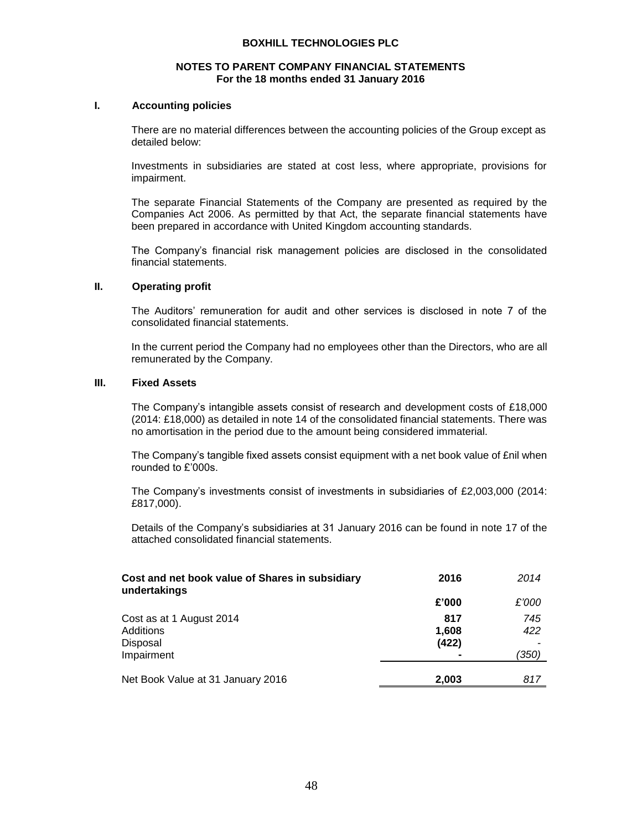### **NOTES TO PARENT COMPANY FINANCIAL STATEMENTS For the 18 months ended 31 January 2016**

## **I. Accounting policies**

There are no material differences between the accounting policies of the Group except as detailed below:

Investments in subsidiaries are stated at cost less, where appropriate, provisions for impairment.

The separate Financial Statements of the Company are presented as required by the Companies Act 2006. As permitted by that Act, the separate financial statements have been prepared in accordance with United Kingdom accounting standards.

The Company's financial risk management policies are disclosed in the consolidated financial statements.

## **II. Operating profit**

The Auditors' remuneration for audit and other services is disclosed in note 7 of the consolidated financial statements.

In the current period the Company had no employees other than the Directors, who are all remunerated by the Company.

## **III. Fixed Assets**

The Company's intangible assets consist of research and development costs of £18,000 (2014: £18,000) as detailed in note 14 of the consolidated financial statements. There was no amortisation in the period due to the amount being considered immaterial.

The Company's tangible fixed assets consist equipment with a net book value of £nil when rounded to £'000s.

The Company's investments consist of investments in subsidiaries of £2,003,000 (2014: £817,000).

Details of the Company's subsidiaries at 31 January 2016 can be found in note 17 of the attached consolidated financial statements.

| Cost and net book value of Shares in subsidiary<br>undertakings | 2016  | 2014  |
|-----------------------------------------------------------------|-------|-------|
|                                                                 | £'000 | £'000 |
| Cost as at 1 August 2014                                        | 817   | 745   |
| Additions                                                       | 1.608 | 422   |
| Disposal                                                        | (422) |       |
| Impairment                                                      |       | (350) |
|                                                                 |       |       |
| Net Book Value at 31 January 2016                               | 2,003 | 817   |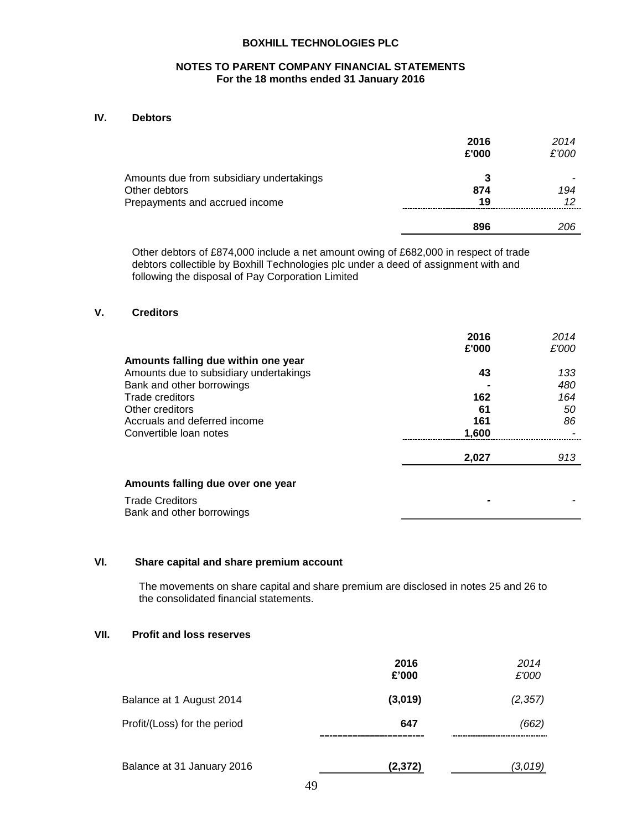### **NOTES TO PARENT COMPANY FINANCIAL STATEMENTS For the 18 months ended 31 January 2016**

## **IV. Debtors**

|                                          | 2016<br>£'000 | 2014<br>£'000 |
|------------------------------------------|---------------|---------------|
| Amounts due from subsidiary undertakings | 3             |               |
| Other debtors                            | 874           | 194           |
| Prepayments and accrued income           | 19            | 12            |
|                                          |               |               |
|                                          | 896           | 206           |

Other debtors of £874,000 include a net amount owing of £682,000 in respect of trade debtors collectible by Boxhill Technologies plc under a deed of assignment with and following the disposal of Pay Corporation Limited

# **V. Creditors**

|                                                     | 2016<br>£'000 | 2014<br>£'000 |
|-----------------------------------------------------|---------------|---------------|
| Amounts falling due within one year                 |               |               |
| Amounts due to subsidiary undertakings              | 43            | 133           |
| Bank and other borrowings                           |               | 480           |
| Trade creditors                                     | 162           | 164           |
| Other creditors                                     | 61            | 50            |
| Accruals and deferred income                        | 161           | 86            |
| Convertible loan notes                              | 1,600         |               |
|                                                     | 2,027         | 913           |
| Amounts falling due over one year                   |               |               |
| <b>Trade Creditors</b><br>Bank and other borrowings |               |               |

## **VI. Share capital and share premium account**

The movements on share capital and share premium are disclosed in notes 25 and 26 to the consolidated financial statements.

## **VII. Profit and loss reserves**

|                              | 2016<br>£'000            | 2014<br>£'000 |
|------------------------------|--------------------------|---------------|
| Balance at 1 August 2014     | (3,019)                  | (2, 357)      |
| Profit/(Loss) for the period | 647<br>----------------- | (662)         |
| Balance at 31 January 2016   | (2,372)                  | (3,019)       |